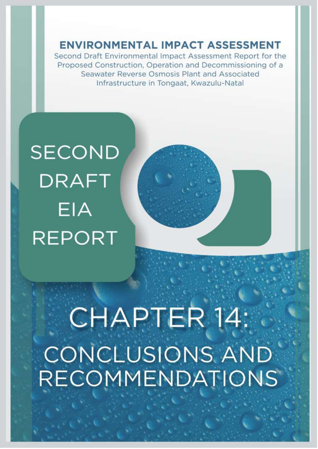**ENVIRONMENTAL IMPACT ASSESSMENT** 

Second Draft Environmental Impact Assessment Report for the Proposed Construction, Operation and Decommissioning of a Seawater Reverse Osmosis Plant and Associated Infrastructure in Tongaat, Kwazulu-Natal

## **SECOND DRAFT** EIA **REPORT**

# CHAPTER 14: **CONCLUSIONS AND** RECOMMENDATIONS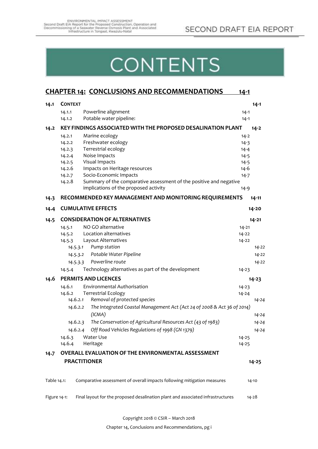## **CONTENTS**

|              |                |          | <b>CHAPTER 14: CONCLUSIONS AND RECOMMENDATIONS</b>                                                          | <u> 14-1</u> |           |
|--------------|----------------|----------|-------------------------------------------------------------------------------------------------------------|--------------|-----------|
| 14.1         | <b>CONTEXT</b> |          |                                                                                                             |              | $14 - 1$  |
|              | 14.1.1         |          | Powerline alignment                                                                                         | $14 - 1$     |           |
|              | 14.1.2         |          | Potable water pipeline:                                                                                     | $14 - 1$     |           |
| 14.2         |                |          | KEY FINDINGS ASSOCIATED WITH THE PROPOSED DESALINATION PLANT                                                |              | $14 - 2$  |
|              | 14.2.1         |          | Marine ecology                                                                                              | $14 - 2$     |           |
|              | 14.2.2         |          | Freshwater ecology                                                                                          | $14-3$       |           |
|              | 14.2.3         |          | Terrestrial ecology                                                                                         | $14 - 4$     |           |
|              | 14.2.4         |          | Noise Impacts                                                                                               | $14 - 5$     |           |
|              | 14.2.5         |          | Visual Impacts                                                                                              | $14 - 5$     |           |
|              | 14.2.6         |          | Impacts on Heritage resources                                                                               | $14 - 6$     |           |
|              | 14.2.7         |          | Socio-Economic Impacts                                                                                      | $14 - 7$     |           |
|              | 14.2.8         |          | Summary of the comparative assessment of the positive and negative<br>implications of the proposed activity |              |           |
|              |                |          |                                                                                                             | $14 - 9$     |           |
| 14.3         |                |          | RECOMMENDED KEY MANAGEMENT AND MONITORING REQUIREMENTS                                                      |              | $14 - 11$ |
| 14.4         |                |          | <b>CUMULATIVE EFFECTS</b>                                                                                   |              | 14-20     |
| 14.5         |                |          | <b>CONSIDERATION OF ALTERNATIVES</b>                                                                        |              | $14 - 21$ |
|              | 14.5.1         |          | NO GO alternative                                                                                           | $14 - 21$    |           |
|              | 14.5.2         |          | Location alternatives                                                                                       | $14 - 22$    |           |
|              | 14.5.3         |          | Layout Alternatives                                                                                         | $14 - 22$    |           |
|              |                | 14.5.3.1 | Pump station                                                                                                |              | $14 - 22$ |
|              |                |          | 14.5.3.2 Potable Water Pipeline                                                                             |              | 14-22     |
|              |                | 14.5.3.3 | Powerline route                                                                                             |              | $14 - 22$ |
|              | 14.5.4         |          | Technology alternatives as part of the development                                                          | 14-23        |           |
| 14.6         |                |          | <b>PERMITS AND LICENCES</b>                                                                                 |              | $14 - 23$ |
|              | 14.6.1         |          | Environmental Authorisation                                                                                 | $14 - 23$    |           |
|              | 14.6.2         |          | <b>Terrestrial Ecology</b>                                                                                  | $14 - 24$    |           |
|              |                | 14.6.2.1 | Removal of protected species                                                                                |              | $14 - 24$ |
|              |                | 14.6.2.2 | The Integrated Coastal Management Act (Act 24 of 2008 & Act 36 of 2014)                                     |              |           |
|              |                |          | (ICMA)                                                                                                      |              | $14 - 24$ |
|              |                | 14.6.2.3 | The Conservation of Agricultural Resources Act (43 of 1983)                                                 |              | $14 - 24$ |
|              |                | 14.6.2.4 | Off Road Vehicles Regulations of 1998 (GN 1379)                                                             |              | $14 - 24$ |
|              | 14.6.3         |          | Water Use                                                                                                   | 14-25        |           |
|              | 14.6.4         |          | Heritage                                                                                                    | $14 - 25$    |           |
| 14.7         |                |          | OVERALL EVALUATION OF THE ENVIRONMENTAL ASSESSMENT                                                          |              |           |
|              |                |          | <b>PRACTITIONER</b>                                                                                         |              | $14 - 25$ |
|              |                |          |                                                                                                             |              |           |
| Table 14.1:  |                |          | Comparative assessment of overall impacts following mitigation measures                                     |              | $14 - 10$ |
| Figure 14-1: |                |          | Final layout for the proposed desalination plant and associated infrastructures                             |              | $14 - 28$ |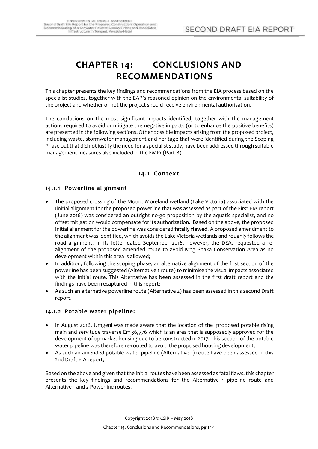## <span id="page-2-0"></span>**CHAPTER 14: CONCLUSIONS AND RECOMMENDATIONS**

This chapter presents the key findings and recommendations from the EIA process based on the specialist studies, together with the EAP's reasoned opinion on the environmental suitability of the project and whether or not the project should receive environmental authorisation.

The conclusions on the most significant impacts identified, together with the management actions required to avoid or mitigate the negative impacts (or to enhance the positive benefits) are presented in the following sections. Other possible impacts arising from the proposed project, including waste, stormwater management and heritage that were identified during the Scoping Phase but that did not justify the need for a specialist study, have been addressed through suitable management measures also included in the EMPr (Part B).

## **14.1 Context**

## <span id="page-2-2"></span><span id="page-2-1"></span>**14.1.1 Powerline alignment**

- The proposed crossing of the Mount Moreland wetland (Lake Victoria) associated with the Iinitial alignment for the proposed powerline that was assessed as part of the First EIA report (June 2016) was considered an outright no-go proposition by the aquatic specialist, and no offset mitigation would compensate for its authorization. Based on the above, the proposed Initial alignment for the powerline was considered **fatally flawed**. A proposed amendment to the alignment was identified, which avoids the Lake Victoria wetlands and roughly follows the road alignment. In its letter dated September 2016, however, the DEA, requested a realignment of the proposed amended route to avoid King Shaka Conservation Area as no development within this area is allowed;
- In addition, following the scoping phase, an alternative alignment of the first section of the powerline has been suggested (Alternative 1 route) to minimise the visual impacts associated with the Initial route. This Alternative has been assessed in the first draft report and the findings have been recaptured in this report;
- As such an alternative powerline route (Alternative 2) has been assessed in this second Draft report.

#### <span id="page-2-3"></span>**14.1.2 Potable water pipeline:**

- In August 2016, Umgeni was made aware that the location of the proposed potable rising main and servitude traverse Erf 36/776 which is an area that is supposedly approved for the development of upmarket housing due to be constructed in 2017. This section of the potable water pipeline was therefore re-routed to avoid the proposed housing development;
- As such an amended potable water pipeline (Alternative 1) route have been assessed in this 2nd Draft EIA report;

Based on the above and given that the Initial routes have been assessed as fatal flaws, this chapter presents the key findings and recommendations for the Alternative 1 pipeline route and Alternative 1 and 2 Powerline routes.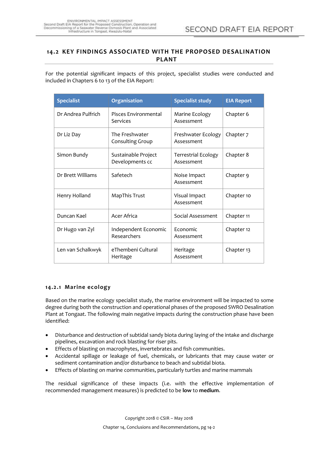## <span id="page-3-0"></span>**14.2 KEY FINDINGS ASSOCIATED WITH THE PROPOSED DESALINATION PLANT**

For the potential significant impacts of this project, specialist studies were conducted and included in Chapters 6 to 13 of the EIA Report:

| <b>Specialist</b>  | Organisation                           | <b>Specialist study</b>                  | <b>EIA Report</b> |
|--------------------|----------------------------------------|------------------------------------------|-------------------|
| Dr Andrea Pulfrich | Pisces Environmental<br>Services       | Marine Ecology<br>Assessment             | Chapter 6         |
| Dr Liz Day         | The Freshwater<br>Consulting Group     | Freshwater Ecology<br>Assessment         | Chapter 7         |
| Simon Bundy        | Sustainable Project<br>Developments cc | <b>Terrestrial Ecology</b><br>Assessment | Chapter 8         |
| Dr Brett Williams  | Safetech                               | Noise Impact<br>Assessment               | Chapter 9         |
| Henry Holland      | MapThis Trust                          | Visual Impact<br>Assessment              | Chapter 10        |
| Duncan Kael        | Acer Africa                            | Social Assessment                        | Chapter 11        |
| Dr Hugo van Zyl    | Independent Economic<br>Researchers    | Economic<br>Assessment                   | Chapter 12        |
| Len van Schalkwyk  | eThembeni Cultural<br>Heritage         | Heritage<br>Assessment                   | Chapter 13        |

## <span id="page-3-1"></span>**14.2.1 Marine ecology**

Based on the marine ecology specialist study, the marine environment will be impacted to some degree during both the construction and operational phases of the proposed SWRO Desalination Plant at Tongaat. The following main negative impacts during the construction phase have been identified:

- Disturbance and destruction of subtidal sandy biota during laying of the intake and discharge pipelines, excavation and rock blasting for riser pits.
- Effects of blasting on macrophytes, invertebrates and fish communities.
- Accidental spillage or leakage of fuel, chemicals, or lubricants that may cause water or sediment contamination and/or disturbance to beach and subtidal biota.
- Effects of blasting on marine communities, particularly turtles and marine mammals

The residual significance of these impacts (i.e. with the effective implementation of recommended management measures) is predicted to be **low** to **medium**.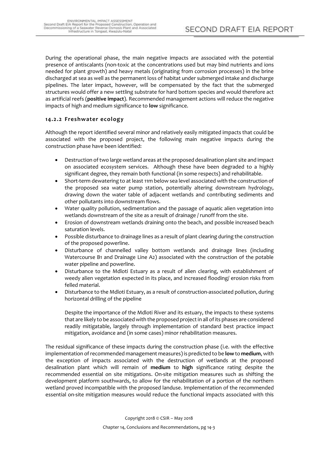During the operational phase, the main negative impacts are associated with the potential presence of antiscalants (non-toxic at the concentrations used but may bind nutrients and ions needed for plant growth) and heavy metals (originating from corrosion processes) in the brine discharged at sea as well as the permanent loss of habitat under submerged intake and discharge pipelines. The later impact, however, will be compensated by the fact that the submerged structures would offer a new settling substrate for hard bottom species and would therefore act as artificial reefs (**positive impact**). Recommended management actions will reduce the negative impacts of high and medium significance to **low** significance.

## <span id="page-4-0"></span>**14.2.2 Freshwater ecology**

Although the report identified several minor and relatively easily mitigated impacts that could be associated with the proposed project, the following main negative impacts during the construction phase have been identified:

- Destruction of two large wetland areas at the proposed desalination plant site and impact on associated ecosystem services. Although these have been degraded to a highly significant degree, they remain both functional (in some respects) and rehabilitable.
- Short-term dewatering to at least 11m below sea level associated with the construction of the proposed sea water pump station, potentially altering downstream hydrology, drawing down the water table of adjacent wetlands and contributing sediments and other pollutants into downstream flows.
- Water quality pollution, sedimentation and the passage of aquatic alien vegetation into wetlands downstream of the site as a result of drainage / runoff from the site.
- Erosion of downstream wetlands draining onto the beach, and possible increased beach saturation levels.
- Possible disturbance to drainage lines as a result of plant clearing during the construction of the proposed powerline.
- Disturbance of channelled valley bottom wetlands and drainage lines (including Watercourse B1 and Drainage Line A2) associated with the construction of the potable water pipeline and powerline.
- Disturbance to the Mdloti Estuary as a result of alien clearing, with establishment of weedy alien vegetation expected in its place, and increased flooding/ erosion risks from felled material.
- Disturbance to the Mdloti Estuary, as a result of construction-associated pollution, during horizontal drilling of the pipeline

Despite the importance of the Mdloti River and its estuary, the impacts to these systems that are likely to be associated with the proposed project in all of its phases are considered readily mitigatable, largely through implementation of standard best practice impact mitigation, avoidance and (in some cases) minor rehabilitation measures.

The residual significance of these impacts during the construction phase (i.e. with the effective implementation of recommended management measures) is predicted to be **low**to **medium**, with the exception of impacts associated with the destruction of wetlands at the proposed desalination plant which will remain of **medium** to **high** significance rating despite the recommended essential on site mitigations. On-site mitigation measures such as shifting the development platform southwards, to allow for the rehabilitation of a portion of the northern wetland proved incompatible with the proposed landuse. Implementation of the recommended essential on-site mitigation measures would reduce the functional impacts associated with this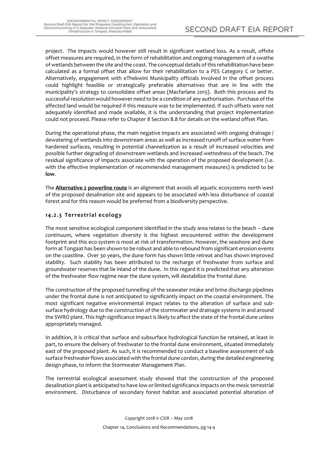project. The impacts would however still result in significant wetland loss. As a result, offsite offset measures are required, in the form of rehabilitation and ongoing management of a swathe of wetlands between the site and the coast. The conceptual details of this rehabilitation have been calculated as a formal offset that allow for their rehabilitation to a PES Category C or better. Alternatively, engagement with eThekwini Municipality officials involved in the offset process could highlight feasible or strategically preferable alternatives that are in line with the municipality's strategy to consolidate offset areas (Macfarlane 2015). Both this process and its successful resolution would however need to be a condition of any authorisation. Purchase of the affected land would be required if this measure was to be implemented. If such offsets were not adequately identified and made available, it is the understanding that project implementation could not proceed. Please refer to Chapter 8 Section 8.8 for details on the wetland offset Plan.

During the operational phase, the main negative impacts are associated with ongoing drainage / dewatering of wetlands into downstream areas as well as increased runoff of surface water from hardened surfaces, resulting in potential channelization as a result of increased velocities and possible further degrading of downstream wetlands and increased wettedness of the beach. The residual significance of impacts associate with the operation of the proposed development (i.e. with the effective implementation of recommended management measures) is predicted to be **low**.

The **Alternative 2 powerline route** is an alignment that avoids all aquatic ecosystems north west of the proposed desalination site and appears to be associated with less disturbance of coastal forest and for this reason would be preferred from a biodiversity perspective.

## <span id="page-5-0"></span>**14.2.3 Terrestrial ecology**

The most sensitive ecological component identified in the study area relates to the beach – dune continuum, where vegetation diversity is the highest encountered within the development footprint and this eco system is most at risk of transformation. However, the seashore and dune form at Tongaat has been shown to be robust and able to rebound from significant erosion events on the coastline. Over 30 years, the dune form has shown little retreat and has shown improved stability. Such stability has been attributed to the recharge of freshwater from surface and groundwater reserves that lie inland of the dune. In this regard it is predicted that any alteration of the freshwater flow regime near the dune system, will destabilize the frontal dune.

The construction of the proposed tunnelling of the seawater intake and brine discharge pipelines under the frontal dune is not anticipated to significantly impact on the coastal environment. The most significant negative environmental impact relates to the alteration of surface and subsurface hydrology due to the construction of the stormwater and drainage systems in and around the SWRO plant. This high significance impact is likely to affect the state of the frontal dune unless appropriately managed.

In addition, it is critical that surface and subsurface hydrological function be retained, at least in part, to ensure the delivery of freshwater to the frontal dune environment, situated immediately east of the proposed plant. As such, it is recommended to conduct a baseline assessment of sub surface freshwater flows associated with the frontal dune cordon, during the detailed engineering design phase, to inform the Stormwater Management Plan.

The terrestrial ecological assessment study showed that the construction of the proposed desalination plant is anticipated to have low or limited significance impacts on the mesic terrestrial environment. Disturbance of secondary forest habitat and associated potential alteration of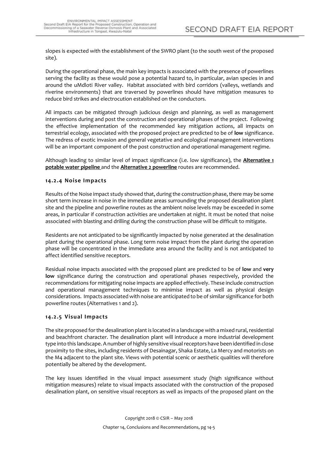slopes is expected with the establishment of the SWRO plant (to the south west of the proposed site).

During the operational phase, the main key impacts is associated with the presence of powerlines serving the facility as these would pose a potential hazard to, in particular, avian species in and around the uMdloti River valley. Habitat associated with bird corridors (valleys, wetlands and riverine environments) that are traversed by powerlines should have mitigation measures to reduce bird strikes and electrocution established on the conductors.

All impacts can be mitigated through judicious design and planning, as well as management interventions during and post the construction and operational phases of the project. Following the effective implementation of the recommended key mitigation actions, all impacts on terrestrial ecology, associated with the proposed project are predicted to be of **low** significance. The redress of exotic invasion and general vegetative and ecological management interventions will be an important component of the post construction and operational management regime.

Although leading to similar level of impact significance (i.e. low significance), the **Alternative 1 potable water pipeline** and the **Alternative 2 powerline** routes are recommended.

#### <span id="page-6-0"></span>**14.2.4 Noise Impacts**

Results of the Noise impact study showed that, during the construction phase, there may be some short term increase in noise in the immediate areas surrounding the proposed desalination plant site and the pipeline and powerline routes as the ambient noise levels may be exceeded in some areas, in particular if construction activities are undertaken at night. It must be noted that noise associated with blasting and drilling during the construction phase will be difficult to mitigate.

Residents are not anticipated to be significantly impacted by noise generated at the desalination plant during the operational phase. Long term noise impact from the plant during the operation phase will be concentrated in the immediate area around the facility and is not anticipated to affect identified sensitive receptors.

Residual noise impacts associated with the proposed plant are predicted to be of **low** and **very low** significance during the construction and operational phases respectively, provided the recommendations for mitigating noise impacts are applied effectively. These include construction and operational management techniques to minimise impact as well as physical design considerations. Impacts associated with noise are anticipated to be of similar significance for both powerline routes (Alternatives 1 and 2).

#### <span id="page-6-1"></span>**14.2.5 Visual Impacts**

The site proposed for the desalination plant is located in a landscape with a mixed rural, residential and beachfront character. The desalination plant will introduce a more industrial development type into this landscape. A number of highly sensitive visual receptors have been identified in close proximity to the sites, including residents of Desainagar, Shaka Estate, La Mercy and motorists on the M4 adjacent to the plant site. Views with potential scenic or aesthetic qualities will therefore potentially be altered by the development.

The key issues identified in the visual impact assessment study (high significance without mitigation measures) relate to visual impacts associated with the construction of the proposed desalination plant, on sensitive visual receptors as well as impacts of the proposed plant on the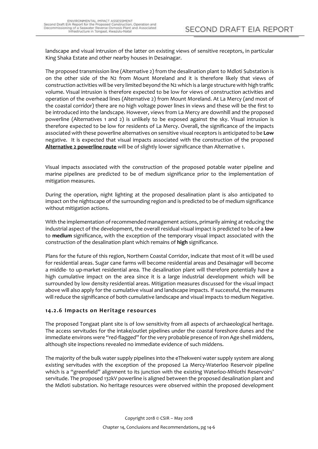landscape and visual intrusion of the latter on existing views of sensitive receptors, in particular King Shaka Estate and other nearby houses in Desainagar.

The proposed transmission line (Alternative 2) from the desalination plant to Mdloti Substation is on the other side of the N2 from Mount Moreland and it is therefore likely that views of construction activities will be very limited beyond the N2 which is a large structure with high traffic volume. Visual intrusion is therefore expected to be low for views of construction activities and operation of the overhead lines (Alternative 2) from Mount Moreland. At La Mercy (and most of the coastal corridor) there are no high voltage power lines in views and these will be the first to be introduced into the landscape. However, views from La Mercy are downhill and the proposed powerline (Alternatives 1 and 2) is unlikely to be exposed against the sky. Visual intrusion is therefore expected to be low for residents of La Mercy. Overall, the significance of the impacts associated with these powerline alternatives on sensitive visual receptors is anticipated to be **Low** negative. It is expected that visual impacts associated with the construction of the proposed **Alternative 2 powerline route** will be of slightly lower significance than Alternative 1.

Visual impacts associated with the construction of the proposed potable water pipeline and marine pipelines are predicted to be of medium significance prior to the implementation of mitigation measures.

During the operation, night lighting at the proposed desalination plant is also anticipated to impact on the nightscape of the surrounding region and is predicted to be of medium significance without mitigation actions.

With the implementation of recommended management actions, primarily aiming at reducing the industrial aspect of the development, the overall residual visual impact is predicted to be of a **low** to **medium** significance, with the exception of the temporary visual impact associated with the construction of the desalination plant which remains of **high** significance.

Plans for the future of this region, Northern Coastal Corridor, indicate that most of it will be used for residential areas. Sugar cane farms will become residential areas and Desainagar will become a middle- to up-market residential area. The desalination plant will therefore potentially have a high cumulative impact on the area since it is a large industrial development which will be surrounded by low density residential areas. Mitigation measures discussed for the visual impact above will also apply for the cumulative visual and landscape impacts. If successful, the measures will reduce the significance of both cumulative landscape and visual impacts to medium Negative.

#### <span id="page-7-0"></span>**14.2.6 Impacts on Heritage resources**

The proposed Tongaat plant site is of low sensitivity from all aspects of archaeological heritage. The access servitudes for the intake/outlet pipelines under the coastal foreshore dunes and the immediate environs were "red-flagged" for the very probable presence of Iron Age shell middens, although site inspections revealed no immediate evidence of such middens.

The majority of the bulk water supply pipelines into the eThekweni water supply system are along existing servitudes with the exception of the proposed La Mercy-Waterloo Reservoir pipeline which is a "greenfield" alignment to its junction with the existing Waterloo-Mhlothi Reservoirs' servitude. The proposed 132kV powerline is aligned between the proposed desalination plant and the Mdloti substation. No heritage resources were observed within the proposed development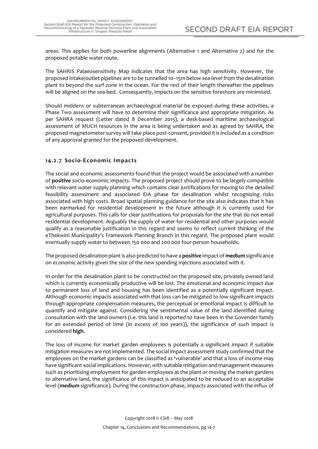areas. This applies for both powerline alignments (Alternative 1 and Alternative 2) and for the proposed potable water route.

The SAHRIS Palaeosensitivity Map indicates that the area has high sensitivity. However, the proposed intake/outlet pipelines are to be tunnelled 10–15m below sea-level from the desalination plant to beyond the surf zone in the ocean. For the rest of their length thereafter the pipelines will be aligned on the sea-bed. Consequently, impacts on the sensitive foreshore are minimised.

Should middens or subterranean archaeological material be exposed during these activities, a Phase Two assessment will have to determine their significance and appropriate mitigation. As per SAHRA request (Letter dated 8 December 2015), a desk-based maritime archaeological assessment of MUCH resources in the area is being undertaken and as agreed by SAHRA, the proposed magnetometer survey will take place post-consent, provided it is included as a condition of any approval granted for the proposed development.

## <span id="page-8-0"></span>**14.2.7 Socio-Economic Impacts**

The social and economic assessments found that the project would be associated with a number of **positive** socio-economic impacts. The proposed project should prove to be largely compatible with relevant water supply planning which contains clear justifications for moving to the detailed feasibility assessment and associated EIA phase for desalination whilst recognizing risks associated with high costs. Broad spatial planning guidance for the site also indicates that it has been earmarked for residential development in the future although it is currently used for agricultural purposes. This calls for clear justifications for proposals for the site that do not entail residential development. Arguably the supply of water for residential and other purposes would qualify as a reasonable justification in this regard and seems to reflect current thinking of the eThekwini Municipality's Framework Planning Branch in this regard. The proposed plant would eventually supply water to between 150 000 and 200 000 four-person households.

The proposed desalination plant is also predicted to have a **positive** impact of **medium** significance on economic activity given the size of the new spending injections associated with it.

In order for the desalination plant to be constructed on the proposed site, privately owned land which is currently economically productive will be lost. The emotional and economic impact due to permanent loss of land and housing has been identified as a potentially significant impact. Although economic impacts associated with that loss can be mitigated to low significant impacts through appropriate compensation measures, the perceptual or emotional impact is difficult to quantify and mitigate against. Considering the sentimental value of the land identified during consultation with the land owners (i.e. this land is reported to have been in the Govender family for an extended period of time (in excess of 100 years)), the significance of such impact is considered **high**.

The loss of income for market garden employees is potentially a significant impact if suitable mitigation measures are not implemented. The social impact assessment study confirmed that the employees on the market gardens can be classified as 'vulnerable' and that a loss of income may have significant social implications. However, with suitable mitigation and management measures such as prioritising employment for garden employees at the plant or moving the market gardens to alternative land, the significance of this impact is anticipated to be reduced to an acceptable level (**medium** significance). During the construction phase, impacts associated with the influx of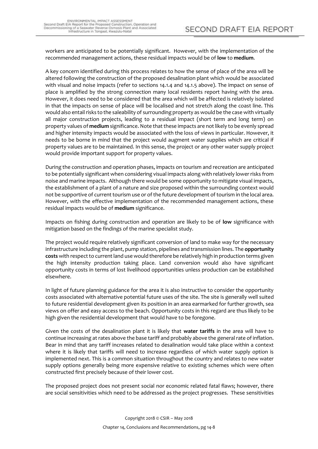workers are anticipated to be potentially significant. However, with the implementation of the recommended management actions, these residual impacts would be of **low** to **medium**.

A key concern identified during this process relates to how the sense of place of the area will be altered following the construction of the proposed desalination plant which would be associated with visual and noise impacts (refer to sections 14.1.4 and 14.1.5 above). The impact on sense of place is amplified by the strong connection many local residents report having with the area. However, it does need to be considered that the area which will be affected is relatively isolated in that the impacts on sense of place will be localised and not stretch along the coast line. This would also entail risks to the saleability of surrounding property as would be the case with virtually all major construction projects, leading to a residual impact (short term and long term) on property values of **medium** significance. Note that these impacts are not likely to be evenly spread and higher intensity impacts would be associated with the loss of views in particular. However, it needs to be borne in mind that the project would augment water supplies which are critical if property values are to be maintained. In this sense, the project or any other water supply project would provide important support for property values.

During the construction and operation phases, impacts on tourism and recreation are anticipated to be potentially significant when considering visual impacts along with relatively lower risks from noise and marine impacts. Although there would be some opportunity to mitigate visual impacts, the establishment of a plant of a nature and size proposed within the surrounding context would not be supportive of current tourism use or of the future development of tourism in the local area. However, with the effective implementation of the recommended management actions, these residual impacts would be of **medium** significance.

Impacts on fishing during construction and operation are likely to be of **low** significance with mitigation based on the findings of the marine specialist study.

The project would require relatively significant conversion of land to make way for the necessary infrastructure including the plant, pump station, pipelines and transmission lines. The **opportunity costs** with respect to current land use would therefore be relatively high in production terms given the high intensity production taking place. Land conversion would also have significant opportunity costs in terms of lost livelihood opportunities unless production can be established elsewhere.

In light of future planning guidance for the area it is also instructive to consider the opportunity costs associated with alternative potential future uses of the site. The site is generally well suited to future residential development given its position in an area earmarked for further growth, sea views on offer and easy access to the beach. Opportunity costs in this regard are thus likely to be high given the residential development that would have to be foregone.

Given the costs of the desalination plant it is likely that **water tariffs** in the area will have to continue increasing at rates above the base tariff and probably above the general rate of inflation. Bear in mind that any tariff increases related to desalination would take place within a context where it is likely that tariffs will need to increase regardless of which water supply option is implemented next. This is a common situation throughout the country and relates to new water supply options generally being more expensive relative to existing schemes which were often constructed first precisely because of their lower cost.

The proposed project does not present social nor economic related fatal flaws; however, there are social sensitivities which need to be addressed as the project progresses. These sensitivities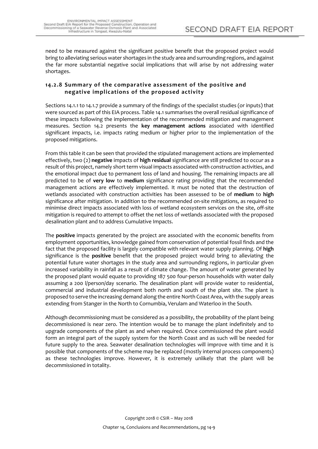need to be measured against the significant positive benefit that the proposed project would bring to alleviating serious water shortages in the study area and surrounding regions, and against the far more substantial negative social implications that will arise by not addressing water shortages.

## <span id="page-10-0"></span>**14.2.8 Summary of the comparative assessment of the positive and negative implications of the proposed activity**

Sections 14.1.1 to 14.1.7 provide a summary of the findings of the specialist studies (or inputs) that were sourced as part of this EIA process. Table 14.1 summarises the overall residual significance of these impacts following the implementation of the recommended mitigation and management measures. Section 14.2 presents the **key management actions** associated with identified significant impacts, i.e. impacts rating medium or higher prior to the implementation of the proposed mitigations.

From this table it can be seen that provided the stipulated management actions are implemented effectively, two (2) **negative** impacts of **high residual** significance are still predicted to occur as a result of this project, namely short term visual impacts associated with construction activities, and the emotional impact due to permanent loss of land and housing. The remaining impacts are all predicted to be of **very low** to **medium** significance rating providing that the recommended management actions are effectively implemented. It must be noted that the destruction of wetlands associated with construction activities has been assessed to be of **medium** to **high** significance after mitigation. In addition to the recommended on-site mitigations, as required to minimise direct impacts associated with loss of wetland ecosystem services on the site, off-site mitigation is required to attempt to offset the net loss of wetlands associated with the proposed desalination plant and to address Cumulative Impacts.

The **positive** impacts generated by the project are associated with the economic benefits from employment opportunities, knowledge gained from conservation of potential fossil finds and the fact that the proposed facility is largely compatible with relevant water supply planning. Of **high** significance is the **positive** benefit that the proposed project would bring to alleviating the potential future water shortages in the study area and surrounding regions, in particular given increased variability in rainfall as a result of climate change. The amount of water generated by the proposed plant would equate to providing 187 500 four-person households with water daily assuming a 200 l/person/day scenario. The desalination plant will provide water to residential, commercial and industrial development both north and south of the plant site. The plant is proposed to serve the increasing demand along the entire North Coast Area, with the supply areas extending from Stanger in the North to Cornumbia, Verulam and Waterloo in the South.

Although decommissioning must be considered as a possibility, the probability of the plant being decommissioned is near zero. The intention would be to manage the plant indefinitely and to upgrade components of the plant as and when required. Once commissioned the plant would form an integral part of the supply system for the North Coast and as such will be needed for future supply to the area. Seawater desalination technologies will improve with time and it is possible that components of the scheme may be replaced (mostly internal process components) as these technologies improve. However, it is extremely unlikely that the plant will be decommissioned in totality.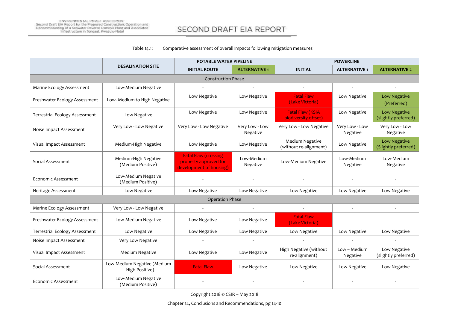#### Table 14.1: Comparative assessment of overall impacts following mitigation measures

<span id="page-11-0"></span>

|                                       |                                                 | <b>POTABLE WATER PIPELINE</b>                                                    |                            | <b>POWERLINE</b>                                |                            |                                             |
|---------------------------------------|-------------------------------------------------|----------------------------------------------------------------------------------|----------------------------|-------------------------------------------------|----------------------------|---------------------------------------------|
|                                       | <b>DESALINATION SITE</b>                        | <b>INITIAL ROUTE</b>                                                             | <b>ALTERNATIVE 1</b>       | <b>INITIAL</b>                                  | <b>ALTERNATIVE 1</b>       | <b>ALTERNATIVE 2</b>                        |
|                                       |                                                 | <b>Construction Phase</b>                                                        |                            |                                                 |                            |                                             |
| Marine Ecology Assessment             | Low-Medium Negative                             |                                                                                  |                            | $\overline{\phantom{a}}$                        |                            |                                             |
| Freshwater Ecology Assessment         | Low- Medium to High Negative                    | Low Negative                                                                     | Low Negative               | <b>Fatal Flaw</b><br>(Lake Victoria)            | Low Negative               | Low Negative<br>(Preferred)                 |
| <b>Terrestrial Ecology Assessment</b> | Low Negative                                    | Low Negative                                                                     | Low Negative               | <b>Fatal Flaw (KSIA</b><br>biodiversity offset) | Low Negative               | <b>Low Negative</b><br>(slightly preferred) |
| Noise Impact Assessment               | Very Low - Low Negative                         | Very Low - Low Negative                                                          | Very Low - Low<br>Negative | Very Low - Low Negative                         | Very Low - Low<br>Negative | Very Low - Low<br>Negative                  |
| Visual Impact Assessment              | Medium-High Negative                            | Low Negative                                                                     | Low Negative               | Medium Negative<br>(without re-alignment)       | Low Negative               | <b>Low Negative</b><br>(Slightly preferred) |
| Social Assessment                     | Medium-High Negative<br>(Medium Positive)       | <b>Fatal Flaw (crossing)</b><br>property approved for<br>development of housing) | Low-Medium<br>Negative     | Low-Medium Negative                             | Low-Medium<br>Negative     | Low-Medium<br>Negative                      |
| Economic Assessment                   | Low-Medium Negative<br>(Medium Positive)        | $\sim$                                                                           | $\sim$                     |                                                 |                            |                                             |
| Heritage Assessment                   | Low Negative                                    | Low Negative                                                                     | Low Negative               | Low Negative                                    | Low Negative               | Low Negative                                |
|                                       |                                                 | <b>Operation Phase</b>                                                           |                            |                                                 |                            |                                             |
| Marine Ecology Assessment             | Very Low - Low Negative                         | $\omega$                                                                         |                            |                                                 |                            |                                             |
| Freshwater Ecology Assessment         | Low-Medium Negative                             | Low Negative                                                                     | Low Negative               | <b>Fatal Flaw</b><br>(Lake Victoria)            |                            |                                             |
| Terrestrial Ecology Assessment        | Low Negative                                    | Low Negative                                                                     | Low Negative               | Low Negative                                    | Low Negative               | Low Negative                                |
| Noise Impact Assessment               | Very Low Negative                               |                                                                                  |                            |                                                 |                            |                                             |
| Visual Impact Assessment              | Medium Negative                                 | Low Negative                                                                     | Low Negative               | High Negative (without<br>re-alignment)         | Low - Medium<br>Negative   | Low Negative<br>(slightly preferred)        |
| Social Assessment                     | Low-Medium Negative (Medium<br>- High Positive) | <b>Fatal Flaw</b>                                                                | Low Negative               | Low Negative                                    | Low Negative               | Low Negative                                |
| <b>Economic Assessment</b>            | Low-Medium Negative<br>(Medium Positive)        |                                                                                  |                            |                                                 |                            |                                             |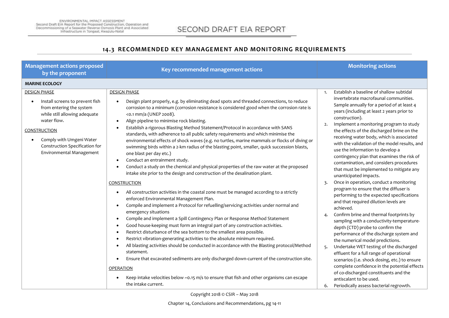## **14.3 RECOMMENDED KEY MANAGEMENT AND MONITORING REQUIREMENTS**

<span id="page-12-0"></span>

| <b>Management actions proposed</b><br>by the proponent                                                                                                                                                                                       | Key recommended management actions                                                                                                                                                                                                                                                                                                                                                                                                                                                                                                                                                                                                                                                                                                                                                                                                                                                                                                                                                                                                                           | <b>Monitoring actions</b>                                                                                                                                                                                                                                                                                                                                                                                                                                                                                                                                                                                                                                                                                                |
|----------------------------------------------------------------------------------------------------------------------------------------------------------------------------------------------------------------------------------------------|--------------------------------------------------------------------------------------------------------------------------------------------------------------------------------------------------------------------------------------------------------------------------------------------------------------------------------------------------------------------------------------------------------------------------------------------------------------------------------------------------------------------------------------------------------------------------------------------------------------------------------------------------------------------------------------------------------------------------------------------------------------------------------------------------------------------------------------------------------------------------------------------------------------------------------------------------------------------------------------------------------------------------------------------------------------|--------------------------------------------------------------------------------------------------------------------------------------------------------------------------------------------------------------------------------------------------------------------------------------------------------------------------------------------------------------------------------------------------------------------------------------------------------------------------------------------------------------------------------------------------------------------------------------------------------------------------------------------------------------------------------------------------------------------------|
| <b>MARINE ECOLOGY</b>                                                                                                                                                                                                                        |                                                                                                                                                                                                                                                                                                                                                                                                                                                                                                                                                                                                                                                                                                                                                                                                                                                                                                                                                                                                                                                              |                                                                                                                                                                                                                                                                                                                                                                                                                                                                                                                                                                                                                                                                                                                          |
| <b>DESIGN PHASE</b><br>Install screens to prevent fish<br>from entering the system<br>while still allowing adequate<br>water flow.<br>CONSTRUCTION<br>Comply with Umgeni Water<br>Construction Specification for<br>Environmental Management | <b>DESIGN PHASE</b><br>Design plant properly, e.g. by eliminating dead spots and threaded connections, to reduce<br>$\bullet$<br>corrosion to a minimum (corrosion resistance is considered good when the corrosion rate is<br><0.1 mm/a (UNEP 2008).<br>Align pipeline to minimise rock blasting.<br>$\bullet$<br>Establish a rigorous Blasting Method Statement/Protocol in accordance with SANS<br>$\bullet$<br>standards, with adherence to all public safety requirements and which minimise the<br>environmental effects of shock waves (e.g. no turtles, marine mammals or flocks of diving or<br>swimming birds within a 2-km radius of the blasting point, smaller, quick succession blasts,<br>one blast per day etc.)<br>Conduct an entrainment study.<br>$\bullet$<br>Conduct a study on the chemical and physical properties of the raw water at the proposed<br>intake site prior to the design and construction of the desalination plant.                                                                                                    | Establish a baseline of shallow subtidal<br>1.<br>invertebrate macrofaunal communities.<br>Sample annually for a period of at least 4<br>years (including at least 2 years prior to<br>construction).<br>Implement a monitoring program to study<br>2.<br>the effects of the discharged brine on the<br>receiving water body, which is associated<br>with the validation of the model results, and<br>use the information to develop a<br>contingency plan that examines the risk of<br>contamination, and considers procedures<br>that must be implemented to mitigate any<br>unanticipated impacts.                                                                                                                    |
|                                                                                                                                                                                                                                              | <b>CONSTRUCTION</b><br>All construction activities in the coastal zone must be managed according to a strictly<br>$\bullet$<br>enforced Environmental Management Plan.<br>Compile and implement a Protocol for refuelling/servicing activities under normal and<br>$\bullet$<br>emergency situations<br>Compile and implement a Spill Contingency Plan or Response Method Statement<br>$\bullet$<br>Good house-keeping must form an integral part of any construction activities.<br>$\bullet$<br>Restrict disturbance of the sea bottom to the smallest area possible.<br>$\bullet$<br>Restrict vibration-generating activities to the absolute minimum required.<br>$\bullet$<br>All blasting activities should be conducted in accordance with the Blasting protocol/Method<br>$\bullet$<br>statement.<br>Ensure that excavated sediments are only discharged down-current of the construction site.<br><b>OPERATION</b><br>Keep intake velocities below ~0.15 m/s to ensure that fish and other organisms can escape<br>$\bullet$<br>the intake current. | Once in operation, conduct a monitoring<br>3.<br>program to ensure that the diffuser is<br>performing to the expected specifications<br>and that required dilution levels are<br>achieved.<br>Confirm brine and thermal footprints by<br>sampling with a conductivity-temperature-<br>depth (CTD) probe to confirm the<br>performance of the discharge system and<br>the numerical model predictions.<br>Undertake WET testing of the discharged<br>5.<br>effluent for a full range of operational<br>scenarios (i.e. shock dosing, etc.) to ensure<br>complete confidence in the potential effects<br>of co-discharged constituents and the<br>antiscalant to be used.<br>Periodically assess bacterial regrowth.<br>6. |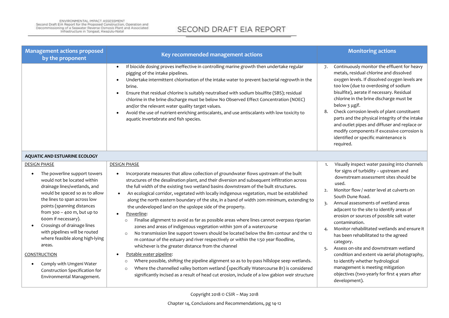| <b>Management actions proposed</b><br>by the proponent                                                                                                                                                                                                                                                                                                                                                                                                                                             | Key recommended management actions                                                                                                                                                                                                                                                                                                                                                                                                                                                                                                                                                                                                                                                                                                                                                                                                                                                                                                                                                                                                                                                                                                                                                                                                                                                                                               | <b>Monitoring actions</b>                                                                                                                                                                                                                                                                                                                                                                                                                                                                                                                                                                                                                                                                                                          |
|----------------------------------------------------------------------------------------------------------------------------------------------------------------------------------------------------------------------------------------------------------------------------------------------------------------------------------------------------------------------------------------------------------------------------------------------------------------------------------------------------|----------------------------------------------------------------------------------------------------------------------------------------------------------------------------------------------------------------------------------------------------------------------------------------------------------------------------------------------------------------------------------------------------------------------------------------------------------------------------------------------------------------------------------------------------------------------------------------------------------------------------------------------------------------------------------------------------------------------------------------------------------------------------------------------------------------------------------------------------------------------------------------------------------------------------------------------------------------------------------------------------------------------------------------------------------------------------------------------------------------------------------------------------------------------------------------------------------------------------------------------------------------------------------------------------------------------------------|------------------------------------------------------------------------------------------------------------------------------------------------------------------------------------------------------------------------------------------------------------------------------------------------------------------------------------------------------------------------------------------------------------------------------------------------------------------------------------------------------------------------------------------------------------------------------------------------------------------------------------------------------------------------------------------------------------------------------------|
|                                                                                                                                                                                                                                                                                                                                                                                                                                                                                                    | If biocide dosing proves ineffective in controlling marine growth then undertake regular<br>pigging of the intake pipelines.<br>Undertake intermittent chlorination of the intake water to prevent bacterial regrowth in the<br>brine.<br>Ensure that residual chlorine is suitably neutralised with sodium bisulfite (SBS); residual<br>chlorine in the brine discharge must be below No Observed Effect Concentration (NOEC)<br>and/or the relevant water quality target values.<br>Avoid the use of nutrient-enriching antiscalants, and use antiscalants with low toxicity to<br>aquatic invertebrate and fish species.                                                                                                                                                                                                                                                                                                                                                                                                                                                                                                                                                                                                                                                                                                      | Continuously monitor the effluent for heavy<br>7.<br>metals, residual chlorine and dissolved<br>oxygen levels. If dissolved oxygen levels are<br>too low (due to overdosing of sodium<br>bisulfite), aerate if necessary. Residual<br>chlorine in the brine discharge must be<br>below 3 µg/l.<br>Check corrosion levels of plant constituent<br>8.<br>parts and the physical integrity of the intake<br>and outlet pipes and diffuser and replace or<br>modify components if excessive corrosion is<br>identified or specific maintenance is<br>required.                                                                                                                                                                         |
| <b>AQUATIC AND ESTUARINE ECOLOGY</b>                                                                                                                                                                                                                                                                                                                                                                                                                                                               |                                                                                                                                                                                                                                                                                                                                                                                                                                                                                                                                                                                                                                                                                                                                                                                                                                                                                                                                                                                                                                                                                                                                                                                                                                                                                                                                  |                                                                                                                                                                                                                                                                                                                                                                                                                                                                                                                                                                                                                                                                                                                                    |
| <b>DESIGN PHASE</b><br>The powerline support towers<br>would not be located within<br>drainage lines/wetlands, and<br>would be spaced so as to allow<br>the lines to span across low<br>points (spanning distances<br>from $300 - 400$ m, but up to<br>600m if necessary).<br>Crossings of drainage lines<br>with pipelines will be routed<br>where feasible along high-lying<br>areas.<br>CONSTRUCTION<br>Comply with Umgeni Water<br>Construction Specification for<br>Environmental Management. | <b>DESIGN PHASE</b><br>Incorporate measures that allow collection of groundwater flows upstream of the built<br>structures of the desalination plant, and their diversion and subsequent infiltration across<br>the full width of the existing two wetland basins downstream of the built structures.<br>An ecological corridor, vegetated with locally indigenous vegetation, must be established<br>$\bullet$<br>along the north eastern boundary of the site, in a band of width 20m minimum, extending to<br>the undeveloped land on the upslope side of the property.<br>Powerline:<br>Finalise alignment to avoid as far as possible areas where lines cannot overpass riparian<br>zones and areas of indigenous vegetation within 30m of a watercourse<br>No transmission line support towers should be located below the 8m contour and the 12<br>m contour of the estuary and river respectively or within the 1:50 year floodline,<br>whichever is the greater distance from the channel<br>Potable water pipeline:<br>Where possible, shifting the pipeline alignment so as to by-pass hillslope seep wetlands.<br>Where the channelled valley bottom wetland (specifically Watercourse B1) is considered<br>$\circ$<br>significantly incised as a result of head cut erosion, include of a low gabion weir structure | Visually inspect water passing into channels<br>1.<br>for signs of turbidity - upstream and<br>downstream assessment sites should be<br>used.<br>Monitor flow / water level at culverts on<br>2.<br>South Dune Road.<br>Annual assessments of wetland areas<br>3.<br>adjacent to the site to identify areas of<br>erosion or sources of possible salt water<br>contamination.<br>Monitor rehabilitated wetlands and ensure it<br>4.<br>has been rehabilitated to the agreed<br>category.<br>Assess on-site and downstream wetland<br>5.<br>condition and extent via aerial photography,<br>to identify whether hydrological<br>management is meeting mitigation<br>objectives (two-yearly for first 4 years after<br>development). |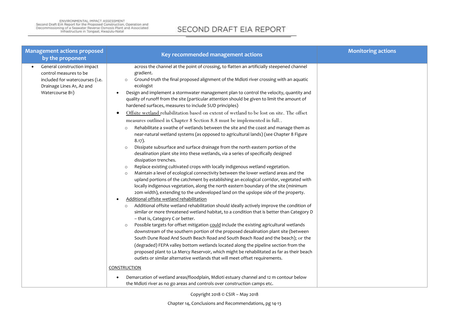| <b>Management actions proposed</b><br>by the proponent                                                                                   | Key recommended management actions                                                                                                                                                                                                                                                                                                                                                                                                                                                                                                                                                                                                                                                                                                                                                                                                                                                                                                                                                                                                                                                                                                                                                                                                                                                                                                                                                                                                                                                                                                                                                                                                                                                                                                                                                                                                                                                                                                                                                                                                                                                                                                                                                                                                                                                                                                                                                                                                                                                                                                                                              | <b>Monitoring actions</b> |
|------------------------------------------------------------------------------------------------------------------------------------------|---------------------------------------------------------------------------------------------------------------------------------------------------------------------------------------------------------------------------------------------------------------------------------------------------------------------------------------------------------------------------------------------------------------------------------------------------------------------------------------------------------------------------------------------------------------------------------------------------------------------------------------------------------------------------------------------------------------------------------------------------------------------------------------------------------------------------------------------------------------------------------------------------------------------------------------------------------------------------------------------------------------------------------------------------------------------------------------------------------------------------------------------------------------------------------------------------------------------------------------------------------------------------------------------------------------------------------------------------------------------------------------------------------------------------------------------------------------------------------------------------------------------------------------------------------------------------------------------------------------------------------------------------------------------------------------------------------------------------------------------------------------------------------------------------------------------------------------------------------------------------------------------------------------------------------------------------------------------------------------------------------------------------------------------------------------------------------------------------------------------------------------------------------------------------------------------------------------------------------------------------------------------------------------------------------------------------------------------------------------------------------------------------------------------------------------------------------------------------------------------------------------------------------------------------------------------------------|---------------------------|
| General construction impact<br>control measures to be<br>included for watercourses (i.e.<br>Drainage Lines A1, A2 and<br>Watercourse B1) | across the channel at the point of crossing, to flatten an artificially steepened channel<br>gradient.<br>Ground-truth the final proposed alignment of the Mdloti river crossing with an aquatic<br>$\circ$<br>ecologist<br>Design and implement a stormwater management plan to control the velocity, quantity and<br>quality of runoff from the site (particular attention should be given to limit the amount of<br>hardened surfaces, measures to include SUD principles)<br>Offsite wetland rehabilitation based on extent of wetland to be lost on site. The offset<br>measures outlined in Chapter 8 Section 8.8 must be implemented in full<br>Rehabilitate a swathe of wetlands between the site and the coast and manage them as<br>$\circ$<br>near-natural wetland systems (as opposed to agricultural lands) (see Chapter 8 Figure<br>$8.17$ ).<br>Dissipate subsurface and surface drainage from the north eastern portion of the<br>$\circ$<br>desalination plant site into these wetlands, via a series of specifically designed<br>dissipation trenches.<br>Replace existing cultivated crops with locally indigenous wetland vegetation.<br>$\circ$<br>Maintain a level of ecological connectivity between the lower wetland areas and the<br>$\circ$<br>upland portions of the catchment by establishing an ecological corridor, vegetated with<br>locally indigenous vegetation, along the north eastern boundary of the site (minimum<br>20m width), extending to the undeveloped land on the upslope side of the property.<br>Additional offsite wetland rehabilitation<br>Additional offsite wetland rehabilitation should ideally actively improve the condition of<br>$\circ$<br>similar or more threatened wetland habitat, to a condition that is better than Category D<br>- that is, Category C or better.<br>Possible targets for offset mitigation could include the existing agricultural wetlands<br>$\circ$<br>downstream of the southern portion of the proposed desalination plant site (between<br>South Dune Road And South Beach Road and South Beach Road and the beach); or the<br>(degraded) FEPA valley bottom wetlands located along the pipeline section from the<br>proposed plant to La Mercy Reservoir, which might be rehabilitated as far as their beach<br>outlets or similar alternative wetlands that will meet offset requirements.<br>CONSTRUCTION<br>Demarcation of wetland areas/floodplain, Mdloti estuary channel and 12 m contour below<br>the Mdloti river as no go areas and controls over construction camps etc. |                           |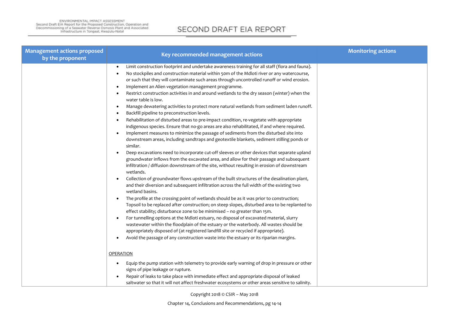| <b>Management actions proposed</b><br>by the proponent | Key recommended management actions                                                                                                                                         | <b>Monitoring actions</b> |
|--------------------------------------------------------|----------------------------------------------------------------------------------------------------------------------------------------------------------------------------|---------------------------|
|                                                        | Limit construction footprint and undertake awareness training for all staff (flora and fauna).                                                                             |                           |
|                                                        | No stockpiles and construction material within 50m of the Mdloti river or any watercourse,                                                                                 |                           |
|                                                        | or such that they will contaminate such areas through uncontrolled runoff or wind erosion.                                                                                 |                           |
|                                                        | Implement an Alien vegetation management programme.<br>$\bullet$                                                                                                           |                           |
|                                                        | Restrict construction activities in and around wetlands to the dry season (winter) when the<br>water table is low.                                                         |                           |
|                                                        | Manage dewatering activities to protect more natural wetlands from sediment laden runoff.                                                                                  |                           |
|                                                        | Backfill pipeline to preconstruction levels.                                                                                                                               |                           |
|                                                        | Rehabilitation of disturbed areas to pre-impact condition, re-vegetate with appropriate                                                                                    |                           |
|                                                        | indigenous species. Ensure that no-go areas are also rehabilitated, if and where required.                                                                                 |                           |
|                                                        | Implement measures to minimize the passage of sediments from the disturbed site into                                                                                       |                           |
|                                                        | downstream areas, including sandtraps and geotextile blankets, sediment stilling ponds or<br>similar.                                                                      |                           |
|                                                        | Deep excavations need to incorporate cut-off sleeves or other devices that separate upland                                                                                 |                           |
|                                                        | groundwater inflows from the excavated area, and allow for their passage and subsequent                                                                                    |                           |
|                                                        | infiltration / diffusion downstream of the site, without resulting in erosion of downstream<br>wetlands.                                                                   |                           |
|                                                        | Collection of groundwater flows upstream of the built structures of the desalination plant,                                                                                |                           |
|                                                        | and their diversion and subsequent infiltration across the full width of the existing two                                                                                  |                           |
|                                                        | wetland basins.                                                                                                                                                            |                           |
|                                                        | The profile at the crossing point of wetlands should be as it was prior to construction;                                                                                   |                           |
|                                                        | Topsoil to be replaced after construction; on steep slopes, disturbed area to be replanted to<br>effect stability; disturbance zone to be minimised - no greater than 15m. |                           |
|                                                        | For tunnelling options at the Mdloti estuary, no disposal of excavated material, slurry                                                                                    |                           |
|                                                        | wastewater within the floodplain of the estuary or the waterbody. All wastes should be                                                                                     |                           |
|                                                        | appropriately disposed of (at registered landfill site or recycled if appropriate).                                                                                        |                           |
|                                                        | Avoid the passage of any construction waste into the estuary or its riparian margins.                                                                                      |                           |
|                                                        |                                                                                                                                                                            |                           |
|                                                        | <b>OPERATION</b>                                                                                                                                                           |                           |
|                                                        | Equip the pump station with telemetry to provide early warning of drop in pressure or other                                                                                |                           |
|                                                        | signs of pipe leakage or rupture.                                                                                                                                          |                           |
|                                                        | Repair of leaks to take place with immediate effect and appropriate disposal of leaked                                                                                     |                           |
|                                                        | saltwater so that it will not affect freshwater ecosystems or other areas sensitive to salinity.                                                                           |                           |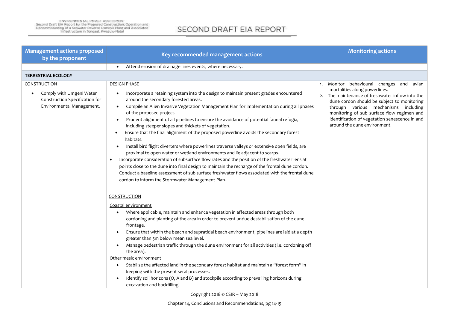| <b>Management actions proposed</b><br>by the proponent                                                         | Key recommended management actions                                                                                                                                                                                                                                                                                                                                                                                                                                                                                                                                                                                                                                                                                                                                                                                                                                                                                                                                                                                                                                                                             | <b>Monitoring actions</b>                                                                                                                                                                                                                                                                                                                            |
|----------------------------------------------------------------------------------------------------------------|----------------------------------------------------------------------------------------------------------------------------------------------------------------------------------------------------------------------------------------------------------------------------------------------------------------------------------------------------------------------------------------------------------------------------------------------------------------------------------------------------------------------------------------------------------------------------------------------------------------------------------------------------------------------------------------------------------------------------------------------------------------------------------------------------------------------------------------------------------------------------------------------------------------------------------------------------------------------------------------------------------------------------------------------------------------------------------------------------------------|------------------------------------------------------------------------------------------------------------------------------------------------------------------------------------------------------------------------------------------------------------------------------------------------------------------------------------------------------|
|                                                                                                                | Attend erosion of drainage lines events, where necessary.<br>$\bullet$                                                                                                                                                                                                                                                                                                                                                                                                                                                                                                                                                                                                                                                                                                                                                                                                                                                                                                                                                                                                                                         |                                                                                                                                                                                                                                                                                                                                                      |
| <b>TERRESTRIAL ECOLOGY</b>                                                                                     |                                                                                                                                                                                                                                                                                                                                                                                                                                                                                                                                                                                                                                                                                                                                                                                                                                                                                                                                                                                                                                                                                                                |                                                                                                                                                                                                                                                                                                                                                      |
| <b>CONSTRUCTION</b><br>Comply with Umgeni Water<br>Construction Specification for<br>Environmental Management. | <b>DESIGN PHASE</b><br>Incorporate a retaining system into the design to maintain present grades encountered<br>around the secondary forested areas.<br>Compile an Alien Invasive Vegetation Management Plan for implementation during all phases<br>$\bullet$<br>of the proposed project.<br>Prudent alignment of all pipelines to ensure the avoidance of potential faunal refugia,<br>including steeper slopes and thickets of vegetation.<br>Ensure that the final alignment of the proposed powerline avoids the secondary forest<br>$\bullet$<br>habitats.<br>Install bird flight diverters where powerlines traverse valleys or extensive open fields, are<br>proximal to open water or wetland environments and lie adjacent to scarps.<br>Incorporate consideration of subsurface flow rates and the position of the freshwater lens at<br>٠<br>points close to the dune into final design to maintain the recharge of the frontal dune cordon.<br>Conduct a baseline assessment of sub surface freshwater flows associated with the frontal dune<br>cordon to inform the Stormwater Management Plan. | Monitor behavioural changes and avian<br>1.<br>mortalities along powerlines.<br>The maintenance of freshwater inflow into the<br>dune cordon should be subject to monitoring<br>through various mechanisms including<br>monitoring of sub surface flow regimen and<br>identification of vegetation senescence in and<br>around the dune environment. |
|                                                                                                                | <b>CONSTRUCTION</b>                                                                                                                                                                                                                                                                                                                                                                                                                                                                                                                                                                                                                                                                                                                                                                                                                                                                                                                                                                                                                                                                                            |                                                                                                                                                                                                                                                                                                                                                      |
|                                                                                                                | Coastal environment<br>Where applicable, maintain and enhance vegetation in affected areas through both<br>cordoning and planting of the area in order to prevent undue destabilisation of the dune<br>frontage.<br>Ensure that within the beach and supratidal beach environment, pipelines are laid at a depth<br>٠<br>greater than 5m below mean sea level.<br>Manage pedestrian traffic through the dune environment for all activities (i.e. cordoning off<br>the area).<br>Other mesic environment<br>Stabilise the affected land in the secondary forest habitat and maintain a "forest form" in<br>keeping with the present seral processes.<br>Identify soil horizons (O, A and B) and stockpile according to prevailing horizons during<br>excavation and backfilling.                                                                                                                                                                                                                                                                                                                               |                                                                                                                                                                                                                                                                                                                                                      |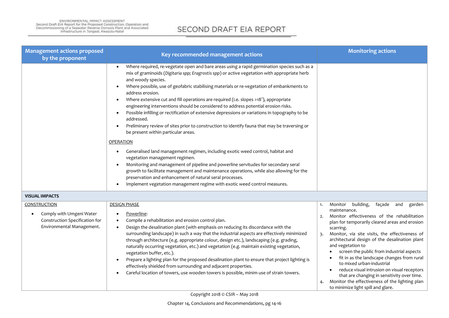| <b>Management actions proposed</b><br>by the proponent                                                         | Key recommended management actions                                                                                                                                                                                                                                                                                                                                                                                                                                                                                                                                                                                                                                                                                                                                                                                                                                                                                                                                                                                                                                                                                                                                                                                                                                                 | <b>Monitoring actions</b>                                                                                                                                                                                                                                                                                                                                                                                                                                                                                                                                                                                                  |
|----------------------------------------------------------------------------------------------------------------|------------------------------------------------------------------------------------------------------------------------------------------------------------------------------------------------------------------------------------------------------------------------------------------------------------------------------------------------------------------------------------------------------------------------------------------------------------------------------------------------------------------------------------------------------------------------------------------------------------------------------------------------------------------------------------------------------------------------------------------------------------------------------------------------------------------------------------------------------------------------------------------------------------------------------------------------------------------------------------------------------------------------------------------------------------------------------------------------------------------------------------------------------------------------------------------------------------------------------------------------------------------------------------|----------------------------------------------------------------------------------------------------------------------------------------------------------------------------------------------------------------------------------------------------------------------------------------------------------------------------------------------------------------------------------------------------------------------------------------------------------------------------------------------------------------------------------------------------------------------------------------------------------------------------|
|                                                                                                                | Where required, re-vegetate open and bare areas using a rapid germination species such as a<br>mix of graminoids (Digitaria spp; Eragrostis spp) or active vegetation with appropriate herb<br>and woody species.<br>Where possible, use of geofabric stabilising materials or re-vegetation of embankments to<br>address erosion.<br>Where extensive cut and fill operations are required (i.e. slopes >18°), appropriate<br>$\bullet$<br>engineering interventions should be considered to address potential erosion risks.<br>Possible infilling or rectification of extensive depressions or variations in topography to be<br>$\bullet$<br>addressed.<br>Preliminary review of sites prior to construction to identify fauna that may be traversing or<br>$\bullet$<br>be present within particular areas.<br><b>OPERATION</b><br>Generalised land management regimen, including exotic weed control, habitat and<br>vegetation management regimen.<br>Monitoring and management of pipeline and powerline servitudes for secondary seral<br>growth to facilitate management and maintenance operations, while also allowing for the<br>preservation and enhancement of natural seral processes.<br>Implement vegetation management regime with exotic weed control measures. |                                                                                                                                                                                                                                                                                                                                                                                                                                                                                                                                                                                                                            |
| <b>VISUAL IMPACTS</b>                                                                                          |                                                                                                                                                                                                                                                                                                                                                                                                                                                                                                                                                                                                                                                                                                                                                                                                                                                                                                                                                                                                                                                                                                                                                                                                                                                                                    |                                                                                                                                                                                                                                                                                                                                                                                                                                                                                                                                                                                                                            |
| <b>CONSTRUCTION</b><br>Comply with Umgeni Water<br>Construction Specification for<br>Environmental Management. | <b>DESIGN PHASE</b><br>Powerline:<br>Compile a rehabilitation and erosion control plan.<br>Design the desalination plant (with emphasis on reducing its discordance with the<br>surrounding landscape) in such a way that the industrial aspects are effectively minimized<br>through architecture (e.g. appropriate colour, design etc.), landscaping (e.g. grading,<br>naturally occurring vegetation, etc.) and vegetation (e.g. maintain existing vegetation,<br>vegetation buffer, etc.).<br>Prepare a lighting plan for the proposed desalination plant to ensure that project lighting is<br>effectively shielded from surrounding and adjacent properties.<br>Careful location of towers, use wooden towers is possible, minim use of strain towers.                                                                                                                                                                                                                                                                                                                                                                                                                                                                                                                       | Monitor<br>building,<br>façade<br>and<br>garden<br>1.<br>maintenance.<br>Monitor effectiveness of the rehabilitation<br>plan for temporarily cleared areas and erosion<br>scarring.<br>Monitor, via site visits, the effectiveness of<br>architectural design of the desalination plant<br>and vegetation to<br>screen the public from industrial aspects<br>fit in as the landscape changes from rural<br>to mixed urban-industrial<br>reduce visual intrusion on visual receptors<br>that are changing in sensitivity over time.<br>Monitor the effectiveness of the lighting plan<br>to minimize light spill and glare. |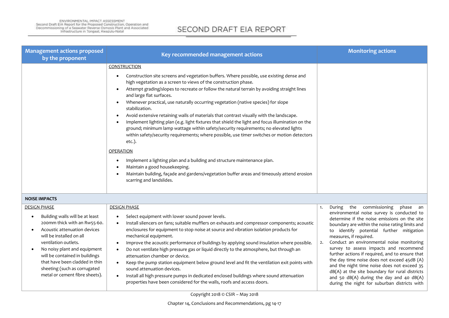| <b>Management actions proposed</b><br>by the proponent                                                                                                                                                                                                                                                                                                        | Key recommended management actions                                                                                                                                                                                                                                                                                                                                                                                                                                                                                                                                                                                                                                                                                                                                                                                                                                                                                                                                                                                                                                              | <b>Monitoring actions</b>                                                                                                                                                                                                                                                                                                                                                                                                                                                                                                                                                                                                                                        |
|---------------------------------------------------------------------------------------------------------------------------------------------------------------------------------------------------------------------------------------------------------------------------------------------------------------------------------------------------------------|---------------------------------------------------------------------------------------------------------------------------------------------------------------------------------------------------------------------------------------------------------------------------------------------------------------------------------------------------------------------------------------------------------------------------------------------------------------------------------------------------------------------------------------------------------------------------------------------------------------------------------------------------------------------------------------------------------------------------------------------------------------------------------------------------------------------------------------------------------------------------------------------------------------------------------------------------------------------------------------------------------------------------------------------------------------------------------|------------------------------------------------------------------------------------------------------------------------------------------------------------------------------------------------------------------------------------------------------------------------------------------------------------------------------------------------------------------------------------------------------------------------------------------------------------------------------------------------------------------------------------------------------------------------------------------------------------------------------------------------------------------|
|                                                                                                                                                                                                                                                                                                                                                               | <b>CONSTRUCTION</b><br>Construction site screens and vegetation buffers. Where possible, use existing dense and<br>high vegetation as a screen to views of the construction phase.<br>Attempt grading/slopes to recreate or follow the natural terrain by avoiding straight lines<br>and large flat surfaces.<br>Whenever practical, use naturally occurring vegetation (native species) for slope<br>stabilization.<br>Avoid extensive retaining walls of materials that contrast visually with the landscape.<br>Implement lighting plan (e.g. light fixtures that shield the light and focus illumination on the<br>ground; minimum lamp wattage within safety/security requirements; no elevated lights<br>within safety/security requirements; where possible, use timer switches or motion detectors<br>etc.).<br><b>OPERATION</b><br>Implement a lighting plan and a building and structure maintenance plan.<br>Maintain a good housekeeping.<br>Maintain building, façade and gardens/vegetation buffer areas and timeously attend erosion<br>scarring and landslides. |                                                                                                                                                                                                                                                                                                                                                                                                                                                                                                                                                                                                                                                                  |
| <b>NOISE IMPACTS</b>                                                                                                                                                                                                                                                                                                                                          |                                                                                                                                                                                                                                                                                                                                                                                                                                                                                                                                                                                                                                                                                                                                                                                                                                                                                                                                                                                                                                                                                 |                                                                                                                                                                                                                                                                                                                                                                                                                                                                                                                                                                                                                                                                  |
| <b>DESIGN PHASE</b><br>Building walls will be at least<br>200mm thick with an Rw55-60.<br>Acoustic attenuation devices<br>$\bullet$<br>will be installed on all<br>ventilation outlets.<br>No noisy plant and equipment<br>will be contained in buildings<br>that have been cladded in thin<br>sheeting (such as corrugated<br>metal or cement fibre sheets). | <b>DESIGN PHASE</b><br>Select equipment with lower sound power levels.<br>Install silencers on fans; suitable mufflers on exhausts and compressor components; acoustic<br>enclosures for equipment to stop noise at source and vibration isolation products for<br>mechanical equipment.<br>Improve the acoustic performance of buildings by applying sound insulation where possible.<br>Do not ventilate high pressure gas or liquid directly to the atmosphere, but through an<br>attenuation chamber or device.<br>Keep the pump station equipment below ground level and fit the ventilation exit points with<br>sound attenuation devices.<br>Install all high pressure pumps in dedicated enclosed buildings where sound attenuation<br>properties have been considered for the walls, roofs and access doors.                                                                                                                                                                                                                                                           | the commissioning<br>phase an<br>During<br>1.<br>environmental noise survey is conducted to<br>determine if the noise emissions on the site<br>boundary are within the noise rating limits and<br>to identify potential further mitigation<br>measures, if required.<br>Conduct an environmental noise monitoring<br>2.<br>survey to assess impacts and recommend<br>further actions if required, and to ensure that<br>the day time noise does not exceed 45dB (A)<br>and the night time noise does not exceed 35<br>dB(A) at the site boundary for rural districts<br>and 50 dB(A) during the day and 40 dB(A)<br>during the night for suburban districts with |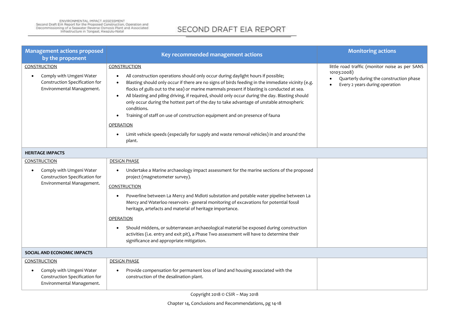| <b>Management actions proposed</b><br>by the proponent                                                                      | Key recommended management actions                                                                                                                                                                                                                                                                                                                                                                                                                                                                                                                                                                                                                                                                                                      | <b>Monitoring actions</b>                                                                                                                  |
|-----------------------------------------------------------------------------------------------------------------------------|-----------------------------------------------------------------------------------------------------------------------------------------------------------------------------------------------------------------------------------------------------------------------------------------------------------------------------------------------------------------------------------------------------------------------------------------------------------------------------------------------------------------------------------------------------------------------------------------------------------------------------------------------------------------------------------------------------------------------------------------|--------------------------------------------------------------------------------------------------------------------------------------------|
| <b>CONSTRUCTION</b><br>Comply with Umgeni Water<br>$\bullet$<br>Construction Specification for<br>Environmental Management. | CONSTRUCTION<br>All construction operations should only occur during daylight hours if possible;<br>$\bullet$<br>Blasting should only occur if there are no signs of birds feeding in the immediate vicinity (e.g.<br>flocks of gulls out to the sea) or marine mammals present if blasting is conducted at sea.<br>All blasting and piling driving, if required, should only occur during the day. Blasting should<br>only occur during the hottest part of the day to take advantage of unstable atmospheric<br>conditions.<br>Training of staff on use of construction equipment and on presence of fauna<br><b>OPERATION</b><br>Limit vehicle speeds (especially for supply and waste removal vehicles) in and around the<br>plant. | little road traffic (monitor noise as per SANS<br>10103:2008)<br>Quarterly during the construction phase<br>Every 2 years during operation |
| <b>HERITAGE IMPACTS</b>                                                                                                     |                                                                                                                                                                                                                                                                                                                                                                                                                                                                                                                                                                                                                                                                                                                                         |                                                                                                                                            |
| <b>CONSTRUCTION</b>                                                                                                         | <b>DESIGN PHASE</b>                                                                                                                                                                                                                                                                                                                                                                                                                                                                                                                                                                                                                                                                                                                     |                                                                                                                                            |
| Comply with Umgeni Water<br>Construction Specification for<br>Environmental Management.                                     | Undertake a Marine archaeology impact assessment for the marine sections of the proposed<br>project (magnetometer survey).<br>CONSTRUCTION<br>Powerline between La Mercy and Mdloti substation and potable water pipeline between La<br>Mercy and Waterloo reservoirs - general monitoring of excavations for potential fossil<br>heritage, artefacts and material of heritage importance.                                                                                                                                                                                                                                                                                                                                              |                                                                                                                                            |
|                                                                                                                             | <b>OPERATION</b>                                                                                                                                                                                                                                                                                                                                                                                                                                                                                                                                                                                                                                                                                                                        |                                                                                                                                            |
|                                                                                                                             | Should middens, or subterranean archaeological material be exposed during construction<br>activities (i.e. entry and exit pit), a Phase Two assessment will have to determine their<br>significance and appropriate mitigation.                                                                                                                                                                                                                                                                                                                                                                                                                                                                                                         |                                                                                                                                            |
| SOCIAL AND ECONOMIC IMPACTS                                                                                                 |                                                                                                                                                                                                                                                                                                                                                                                                                                                                                                                                                                                                                                                                                                                                         |                                                                                                                                            |
| <b>CONSTRUCTION</b>                                                                                                         | <b>DESIGN PHASE</b>                                                                                                                                                                                                                                                                                                                                                                                                                                                                                                                                                                                                                                                                                                                     |                                                                                                                                            |
| Comply with Umgeni Water<br>$\bullet$<br>Construction Specification for<br>Environmental Management.                        | Provide compensation for permanent loss of land and housing associated with the<br>construction of the desalination plant.                                                                                                                                                                                                                                                                                                                                                                                                                                                                                                                                                                                                              |                                                                                                                                            |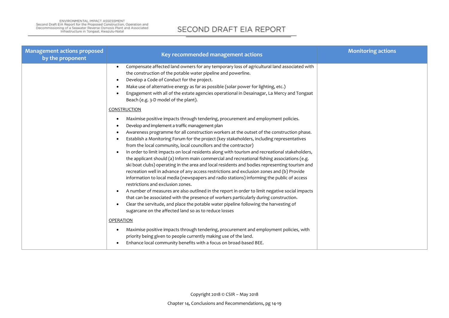| <b>Management actions proposed</b><br>by the proponent | Key recommended management actions                                                                                                                                                                                                                                                                                                                                                                                                                                                                                                                                                                                                                                                                                                                                                                                                                                                                                                                                                                                                                                                                                                                                                                                                                                                                     | <b>Monitoring actions</b> |
|--------------------------------------------------------|--------------------------------------------------------------------------------------------------------------------------------------------------------------------------------------------------------------------------------------------------------------------------------------------------------------------------------------------------------------------------------------------------------------------------------------------------------------------------------------------------------------------------------------------------------------------------------------------------------------------------------------------------------------------------------------------------------------------------------------------------------------------------------------------------------------------------------------------------------------------------------------------------------------------------------------------------------------------------------------------------------------------------------------------------------------------------------------------------------------------------------------------------------------------------------------------------------------------------------------------------------------------------------------------------------|---------------------------|
|                                                        | Compensate affected land owners for any temporary loss of agricultural land associated with<br>the construction of the potable water pipeline and powerline.<br>Develop a Code of Conduct for the project.<br>$\bullet$<br>Make use of alternative energy as far as possible (solar power for lighting, etc.)<br>Engagement with all of the estate agencies operational in Desainagar, La Mercy and Tongaat<br>Beach (e.g. 3-D model of the plant).                                                                                                                                                                                                                                                                                                                                                                                                                                                                                                                                                                                                                                                                                                                                                                                                                                                    |                           |
|                                                        | <b>CONSTRUCTION</b><br>Maximise positive impacts through tendering, procurement and employment policies.<br>Develop and implement a traffic management plan<br>Awareness programme for all construction workers at the outset of the construction phase.<br>Establish a Monitoring Forum for the project (key stakeholders, including representatives<br>from the local community, local councillors and the contractor)<br>In order to limit impacts on local residents along with tourism and recreational stakeholders,<br>the applicant should (a) Inform main commercial and recreational fishing associations (e.g.<br>ski boat clubs) operating in the area and local residents and bodies representing tourism and<br>recreation well in advance of any access restrictions and exclusion zones and (b) Provide<br>information to local media (newspapers and radio stations) informing the public of access<br>restrictions and exclusion zones.<br>A number of measures are also outlined in the report in order to limit negative social impacts<br>that can be associated with the presence of workers particularly during construction.<br>Clear the servitude, and place the potable water pipeline following the harvesting of<br>sugarcane on the affected land so as to reduce losses |                           |
|                                                        | <b>OPERATION</b><br>Maximise positive impacts through tendering, procurement and employment policies, with<br>priority being given to people currently making use of the land.<br>Enhance local community benefits with a focus on broad-based BEE.                                                                                                                                                                                                                                                                                                                                                                                                                                                                                                                                                                                                                                                                                                                                                                                                                                                                                                                                                                                                                                                    |                           |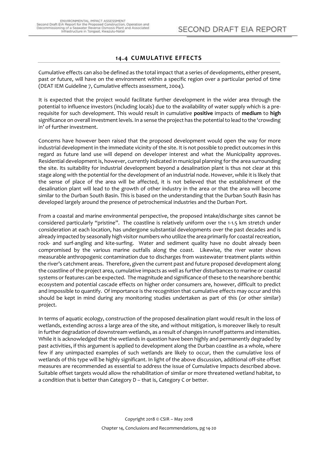## **14.4 CUMULATIVE EFFECTS**

<span id="page-21-0"></span>Cumulative effects can also be defined as the total impact that a series of developments, either present, past or future, will have on the environment within a specific region over a particular period of time (DEAT IEM Guideline 7, Cumulative effects assessment, 2004).

It is expected that the project would facilitate further development in the wider area through the potential to influence investors (including locals) due to the availability of water supply which is a prerequisite for such development. This would result in cumulative **positive** impacts of **medium** to **high** significance on overall investment levels. In a sense the project has the potential to lead to the 'crowding in' of further investment.

Concerns have however been raised that the proposed development would open the way for more industrial development in the immediate vicinity of the site. It is not possible to predict outcomes in this regard as future land use will depend on developer interest and what the Municipality approves. Residential development is, however, currently indicated in municipal planning for the area surrounding the site. Its suitability for industrial development beyond a desalination plant is thus not clear at this stage along with the potential for the development of an industrial node. However, while it is likely that the sense of place of the area will be affected, it is not believed that the establishment of the desalination plant will lead to the growth of other industry in the area or that the area will become similar to the Durban South Basin. This is based on the understanding that the Durban South Basin has developed largely around the presence of petrochemical industries and the Durban Port.

From a coastal and marine environmental perspective, the proposed intake/discharge sites cannot be considered particularly "pristine". The coastline is relatively uniform over the 1-1.5 km stretch under consideration at each location, has undergone substantial developments over the past decades and is already impacted by seasonally high visitor numbers who utilize the area primarily for coastal recreation, rock- and surf-angling and kite-surfing. Water and sediment quality have no doubt already been compromised by the various marine outfalls along the coast. Likewise, the river water shows measurable anthropogenic contamination due to discharges from wastewater treatment plants within the river's catchment areas. Therefore, given the current past and future proposed development along the coastline of the project area, cumulative impacts as well as further disturbances to marine or coastal systems or features can be expected. The magnitude and significance of these to the nearshore benthic ecosystem and potential cascade effects on higher order consumers are, however, difficult to predict and impossible to quantify. Of importance is the recognition that cumulative effects may occur and this should be kept in mind during any monitoring studies undertaken as part of this (or other similar) project.

In terms of aquatic ecology, construction of the proposed desalination plant would result in the loss of wetlands, extending across a large area of the site, and without mitigation, is moreover likely to result in further degradation of downstream wetlands, as a result of changes in runoff patterns and intensities. While it is acknowledged that the wetlands in question have been highly and permanently degraded by past activities, if this argument is applied to development along the Durban coastline as a whole, where few if any unimpacted examples of such wetlands are likely to occur, then the cumulative loss of wetlands of this type will be highly significant. In light of the above discussion, additional off-site offset measures are recommended as essential to address the issue of Cumulative Impacts described above. Suitable offset targets would allow the rehabilitation of similar or more threatened wetland habitat, to a condition that is better than Category D – that is, Category C or better.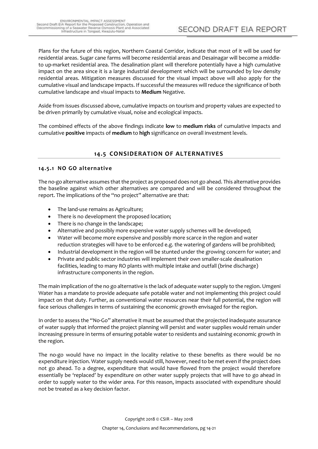Plans for the future of this region, Northern Coastal Corridor, indicate that most of it will be used for residential areas. Sugar cane farms will become residential areas and Desainagar will become a middleto up-market residential area. The desalination plant will therefore potentially have a high cumulative impact on the area since it is a large industrial development which will be surrounded by low density residential areas. Mitigation measures discussed for the visual impact above will also apply for the cumulative visual and landscape impacts. If successful the measures will reduce the significance of both cumulative landscape and visual impacts to **Medium** Negative.

Aside from issues discussed above, cumulative impacts on tourism and property values are expected to be driven primarily by cumulative visual, noise and ecological impacts.

<span id="page-22-0"></span>The combined effects of the above findings indicate **low** to **medium risks** of cumulative impacts and cumulative **positive** impacts of **medium** to **high** significance on overall investment levels.

## **14.5 CONSIDERATION OF ALTERNATIVES**

#### <span id="page-22-1"></span>**14.5.1 NO GO alternative**

The no-go alternative assumes that the project as proposed does not go ahead. This alternative provides the baseline against which other alternatives are compared and will be considered throughout the report. The implications of the "no project" alternative are that:

- The land-use remains as Agriculture;
- There is no development the proposed location;
- There is no change in the landscape;
- Alternative and possibly more expensive water supply schemes will be developed;
- Water will become more expensive and possibly more scarce in the region and water reduction strategies will have to be enforced e.g. the watering of gardens will be prohibited;
- Industrial development in the region will be stunted under the growing concern for water; and
- Private and public sector industries will implement their own smaller-scale desalination facilities, leading to many RO plants with multiple intake and outfall (brine discharge) infrastructure components in the region.

The main implication of the no go alternative is the lack of adequate water supply to the region. Umgeni Water has a mandate to provide adequate safe potable water and not implementing this project could impact on that duty. Further, as conventional water resources near their full potential, the region will face serious challenges in terms of sustaining the economic growth envisaged for the region.

In order to assess the "No-Go" alternative it must be assumed that the projected inadequate assurance of water supply that informed the project planning will persist and water supplies would remain under increasing pressure in terms of ensuring potable water to residents and sustaining economic growth in the region.

The no-go would have no impact in the locality relative to these benefits as there would be no expenditure injection. Water supply needs would still, however, need to be met even if the project does not go ahead. To a degree, expenditure that would have flowed from the project would therefore essentially be 'replaced' by expenditure on other water supply projects that will have to go ahead in order to supply water to the wider area. For this reason, impacts associated with expenditure should not be treated as a key decision factor.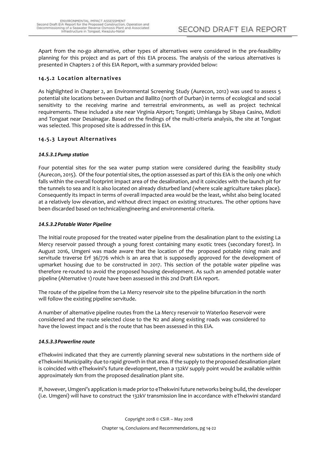Apart from the no-go alternative, other types of alternatives were considered in the pre-feasibility planning for this project and as part of this EIA process. The analysis of the various alternatives is presented in Chapters 2 of this EIA Report, with a summary provided below:

## <span id="page-23-0"></span>**14.5.2 Location alternatives**

As highlighted in Chapter 2, an Environmental Screening Study (Aurecon, 2012) was used to assess 5 potential site locations between Durban and Ballito (north of Durban) in terms of ecological and social sensitivity to the receiving marine and terrestrial environments, as well as project technical requirements. These included a site near Virginia Airport; Tongati; Umhlanga by Sibaya Casino, Mdloti and Tongaat near Desainagar. Based on the findings of the multi-criteria analysis, the site at Tongaat was selected. This proposed site is addressed in this EIA.

## <span id="page-23-1"></span>**14.5.3 Layout Alternatives**

#### <span id="page-23-2"></span>*14.5.3.1Pump station*

Four potential sites for the sea water pump station were considered during the feasibility study (Aurecon, 2015). Of the four potential sites, the option assessed as part of this EIA is the only one which falls within the overall footprint impact area of the desalination, and it coincides with the launch pit for the tunnels to sea and it is also located on already disturbed land (where scale agriculture takes place). Consequently its impact in terms of overall impacted area would be the least, whilst also being located at a relatively low elevation, and without direct impact on existing structures. The other options have been discarded based on technical/engineering and environmental criteria.

### <span id="page-23-3"></span>*14.5.3.2Potable Water Pipeline*

The Initial route proposed for the treated water pipeline from the desalination plant to the existing La Mercy reservoir passed through a young forest containing many exotic trees (secondary forest). In August 2016, Umgeni was made aware that the location of the proposed potable rising main and servitude traverse Erf 36/776 which is an area that is supposedly approved for the development of upmarket housing due to be constructed in 2017. This section of the potable water pipeline was therefore re-routed to avoid the proposed housing development. As such an amended potable water pipeline (Alternative 1) route have been assessed in this 2nd Draft EIA report.

The route of the pipeline from the La Mercy reservoir site to the pipeline bifurcation in the north will follow the existing pipeline servitude.

A number of alternative pipeline routes from the La Mercy reservoir to Waterloo Reservoir were considered and the route selected close to the N2 and along existing roads was considered to have the lowest impact and is the route that has been assessed in this EIA.

#### <span id="page-23-4"></span>*14.5.3.3Powerline route*

eThekwini indicated that they are currently planning several new substations in the northern side of eThekwini Municipality due to rapid growth in that area. If the supply to the proposed desalination plant is coincided with eThekwini's future development, then a 132kV supply point would be available within approximately 1km from the proposed desalination plant site.

If, however, Umgeni's application is made prior to eThekwini future networks being build, the developer (i.e. Umgeni) will have to construct the 132kV transmission line in accordance with eThekwini standard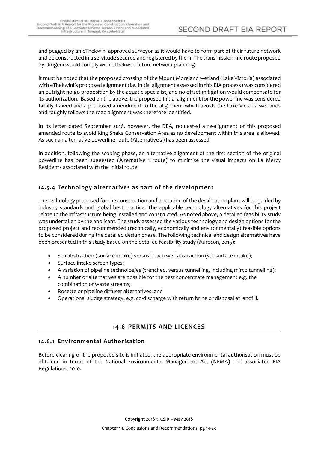and pegged by an eThekwini approved surveyor as it would have to form part of their future network and be constructed in a servitude secured and registered by them. The transmission line route proposed by Umgeni would comply with eThekwini future network planning.

It must be noted that the proposed crossing of the Mount Moreland wetland (Lake Victoria) associated with eThekwini's proposed alignment (i.e. Initial alignment assessed in this EIA process) was considered an outright no-go proposition by the aquatic specialist, and no offset mitigation would compensate for its authorization. Based on the above, the proposed Initial alignment for the powerline was considered **fatally flawed** and a proposed amendment to the alignment which avoids the Lake Victoria wetlands and roughly follows the road alignment was therefore identified.

In its letter dated September 2016, however, the DEA, requested a re-alignment of this proposed amended route to avoid King Shaka Conservation Area as no development within this area is allowed. As such an alternative powerline route (Alternative 2) has been assessed.

In addition, following the scoping phase, an alternative alignment of the first section of the original powerline has been suggested (Alternative 1 route) to minimise the visual impacts on La Mercy Residents associated with the Initial route.

## <span id="page-24-0"></span>**14.5.4 Technology alternatives as part of the development**

The technology proposed for the construction and operation of the desalination plant will be guided by industry standards and global best practice. The applicable technology alternatives for this project relate to the infrastructure being installed and constructed. As noted above, a detailed feasibility study was undertaken by the applicant. The study assessed the various technology and design options for the proposed project and recommended (technically, economically and environmentally) feasible options to be considered during the detailed design phase. The following technical and design alternatives have been presented in this study based on the detailed feasibility study (Aurecon, 2015):

- Sea abstraction (surface intake) versus beach well abstraction (subsurface intake);
- Surface intake screen types;
- A variation of pipeline technologies (trenched, versus tunnelling, including mirco tunnelling);
- A number or alternatives are possible for the best concentrate management e.g. the combination of waste streams;
- Rosette or pipeline diffuser alternatives; and
- Operational sludge strategy, e.g. co-discharge with return brine or disposal at landfill.

## **14.6 PERMITS AND LICENCES**

## <span id="page-24-2"></span><span id="page-24-1"></span>**14.6.1 Environmental Authorisation**

Before clearing of the proposed site is initiated, the appropriate environmental authorisation must be obtained in terms of the National Environmental Management Act (NEMA) and associated EIA Regulations, 2010.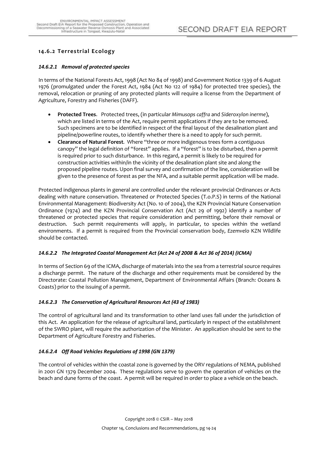## <span id="page-25-0"></span>**14.6.2 Terrestrial Ecology**

#### <span id="page-25-1"></span>*14.6.2.1 Removal of protected species*

In terms of the National Forests Act, 1998 (Act No 84 of 1998) and Government Notice 1339 of 6 August 1976 (promulgated under the Forest Act, 1984 (Act No 122 of 1984) for protected tree species), the removal, relocation or pruning of any protected plants will require a license from the Department of Agriculture, Forestry and Fisheries (DAFF).

- **Protected Trees**. Protected trees, (in particular *Mimusops caffra* and *Sideroxylon inerme*), which are listed in terms of the Act, require permit applications if they are to be removed. Such specimens are to be identified in respect of the final layout of the desalination plant and pipeline/powerline routes, to identify whether there is a need to apply for such permit.
- **Clearance of Natural Forest**. Where "three or more indigenous trees form a contiguous canopy" the legal definition of "forest" applies. If a "forest" is to be disturbed, then a permit is required prior to such disturbance. In this regard, a permit is likely to be required for construction activities within/in the vicinity of the desalination plant site and along the proposed pipeline routes. Upon final survey and confirmation of the line, consideration will be given to the presence of forest as per the NFA, and a suitable permit application will be made.

Protected indigenous plants in general are controlled under the relevant provincial Ordinances or Acts dealing with nature conservation. Threatened or Protected Species (T.o.P.S) in terms of the National Environmental Management: Biodiversity Act (No. 10 of 2004), the KZN Provincial Nature Conservation Ordinance (1974) and the KZN Provincial Conservation Act (Act 29 of 1992) identify a number of threatened or protected species that require consideration and permitting, before their removal or destruction. Such permit requirements will apply, in particular, to species within the wetland environments. If a permit is required from the Provincial conservation body, *Ezemvelo* KZN Wildlife should be contacted.

#### <span id="page-25-2"></span>*14.6.2.2 The Integrated Coastal Management Act (Act 24 of 2008 & Act 36 of 2014) (ICMA)*

In terms of Section 69 of the ICMA, discharge of materials into the sea from a terrestrial source requires a discharge permit. The nature of the discharge and other requirements must be considered by the Directorate: Coastal Pollution Management, Department of Environmental Affairs (Branch: Oceans & Coasts) prior to the issuing of a permit.

#### <span id="page-25-3"></span>*14.6.2.3 The Conservation of Agricultural Resources Act (43 of 1983)*

The control of agricultural land and its transformation to other land uses fall under the jurisdiction of this Act. An application for the release of agricultural land, particularly in respect of the establishment of the SWRO plant, will require the authorization of the Minister. An application should be sent to the Department of Agriculture Forestry and Fisheries.

## <span id="page-25-4"></span>*14.6.2.4 Off Road Vehicles Regulations of 1998 (GN 1379)*

The control of vehicles within the coastal zone is governed by the ORV regulations of NEMA, published in 2001 GN 1379 December 2004. These regulations serve to govern the operation of vehicles on the beach and dune forms of the coast. A permit will be required in order to place a vehicle on the beach.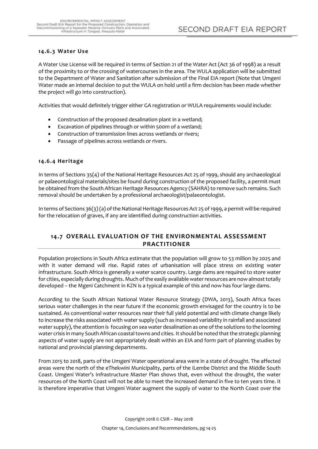## <span id="page-26-0"></span>**14.6.3 Water Use**

A Water Use License will be required in terms of Section 21 of the Water Act (Act 36 of 1998) as a result of the proximity to or the crossing of watercourses in the area. The WULA application will be submitted to the Department of Water and Sanitation after submission of the Final EIA report (Note that Umgeni Water made an internal decision to put the WULA on hold until a firm decision has been made whether the project will go into construction).

Activities that would definitely trigger either GA registration or WULA requirements would include:

- Construction of the proposed desalination plant in a wetland;
- Excavation of pipelines through or within 500m of a wetland;
- Construction of transmission lines across wetlands or rivers;
- Passage of pipelines across wetlands or rivers.

#### <span id="page-26-1"></span>**14.6.4 Heritage**

In terms of Sections 35(4) of the National Heritage Resources Act 25 of 1999, should any archaeological or palaeontological materials/sites be found during construction of the proposed facility, a permit must be obtained from the South African Heritage Resources Agency (SAHRA) to remove such remains. Such removal should be undertaken by a professional archaeologist/palaeontologist.

In terms of Sections 36(3) (a) of the National Heritage Resources Act 25 of 1999, a permit will be required for the relocation of graves, if any are identified during construction activities.

## <span id="page-26-2"></span>**14.7 OVERALL EVALUATION OF THE ENVIRONMENTAL ASSESSMENT PRACTITIONER**

Population projections in South Africa estimate that the population will grow to 53 million by 2025 and with it water demand will rise. Rapid rates of urbanisation will place stress on existing water infrastructure. South Africa is generally a water scarce country. Large dams are required to store water for cities, especially during droughts. Much of the easily available water resources are now almost totally developed – the Mgeni Catchment in KZN is a typical example of this and now has four large dams.

According to the South African National Water Resource Strategy (DWA, 2013), South Africa faces serious water challenges in the near future if the economic growth envisaged for the country is to be sustained. As conventional water resources near their full yield potential and with climate change likely to increase the risks associated with water supply (such as increased variability in rainfall and associated water supply), the attention is focusing on sea water desalination as one of the solutions to the looming water crisis in many South African coastal towns and cities. It should be noted that the strategic planning aspects of water supply are not appropriately dealt within an EIA and form part of planning studies by national and provincial planning departments.

From 2015 to 2018, parts of the Umgeni Water operational area were in a state of drought. The affected areas were the north of the eThekwini Municipality, parts of the iLembe District and the Middle South Coast. Umgeni Water's Infrastructure Master Plan shows that, even without the drought, the water resources of the North Coast will not be able to meet the increased demand in five to ten years time. It is therefore imperative that Umgeni Water augment the supply of water to the North Coast over the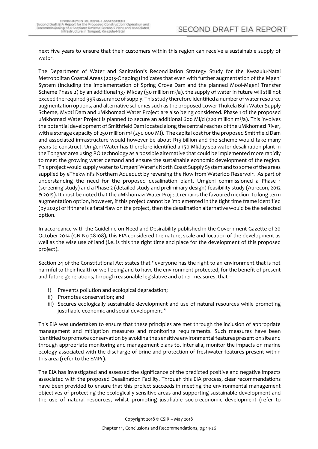next five years to ensure that their customers within this region can receive a sustainable supply of water.

The Department of Water and Sanitation's Reconciliation Strategy Study for the Kwazulu-Natal Metropolitan Coastal Areas (2015-Ongoing) indicates that even with further augmentation of the Mgeni System (including the implementation of Spring Grove Dam and the planned Mooi-Mgeni Transfer Scheme Phase 2) by an additional 137 Ml/day (50 million m<sup>3</sup>/a), the supply of water in future will still not exceed the required 99% assurance of supply. This study therefore identified a number of water resource augmentation options, and alternative schemes such as the proposed Lower Thukela Bulk Water Supply Scheme, Mvoti Dam and uMkhomazi Water Project are also being considered. Phase 1 of the proposed uMkhomazi Water Project is planned to secure an additional 600 Ml/d (220 million m<sup>3</sup>/a). This involves the potential development of Smithfield Dam located along the central reaches of the uMkhomazi River, with a storage capacity of 250 million m<sup>3</sup> (250 000 MI). The capital cost for the proposed Smithfield Dam and associated infrastructure would however be about R19 billion and the scheme would take many years to construct. Umgeni Water has therefore identified a 150 Ml/day sea water desalination plant in the Tongaat area using RO technology as a possible alternative that could be implemented more rapidly to meet the growing water demand and ensure the sustainable economic development of the region. This project would supply water to Umgeni Water's North Coast Supply System and to some of the areas supplied by eThekwini's Northern Aqueduct by reversing the flow from Waterloo Reservoir. As part of understanding the need for the proposed desalination plant, Umgeni commissioned a Phase 1 (screening study) and a Phase 2 (detailed study and preliminary design) feasibility study (Aurecon, 2012 & 2015). It must be noted that the uMkhomazi Water Project remains the favoured medium to long term augmentation option, however, if this project cannot be implemented in the tight time frame identified (by 2023) or if there is a fatal flaw on the project, then the desalination alternative would be the selected option.

In accordance with the Guideline on Need and Desirability published in the Government Gazette of 20 October 2014 (GN No 38108), this EIA considered the nature, scale and location of the development as well as the wise use of land (i.e. is this the right time and place for the development of this proposed project).

Section 24 of the Constitutional Act states that "everyone has the right to an environment that is not harmful to their health or well-being and to have the environment protected, for the benefit of present and future generations, through reasonable legislative and other measures, that –

- i) Prevents pollution and ecological degradation;
- ii) Promotes conservation; and
- iii) Secures ecologically sustainable development and use of natural resources while promoting justifiable economic and social development."

This EIA was undertaken to ensure that these principles are met through the inclusion of appropriate management and mitigation measures and monitoring requirements. Such measures have been identified to promote conservation by avoiding the sensitive environmental features present on site and through appropriate monitoring and management plans to, inter alia, monitor the impacts on marine ecology associated with the discharge of brine and protection of freshwater features present within this area (refer to the EMPr).

The EIA has investigated and assessed the significance of the predicted positive and negative impacts associated with the proposed Desalination Facility. Through this EIA process, clear recommendations have been provided to ensure that this project succeeds in meeting the environmental management objectives of protecting the ecologically sensitive areas and supporting sustainable development and the use of natural resources, whilst promoting justifiable socio-economic development (refer to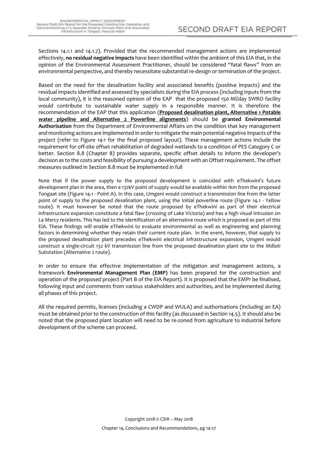Sections 14.1.1 and 14.1.7). Provided that the recommended management actions are implemented effectively, **no residual negative impacts** have been identified within the ambient of this EIA that, in the opinion of the Environmental Assessment Practitioner, should be considered "fatal flaws" from an environmental perspective, and thereby necessitate substantial re-design or termination of the project.

Based on the need for the desalination facility and associated benefits (positive impacts) and the residual impacts identified and assessed by specialists during the EIA process (including inputs from the local community), it is the reasoned opinion of the EAP that the proposed 150 Ml/day SWRO facility would contribute to sustainable water supply in a responsible manner. It is therefore the recommendation of the EAP that this application (**Proposed desalination plant, Alternative 1 Potable water pipeline and Alternative 2 Powerline alignments**) should be **granted Environmental Authorisation** from the Department of Environmental Affairs on the condition that key management and monitoring actions are implemented in order to mitigate the main potential negative impacts of the project (refer to Figure 14-1 for the final proposed layout). These management actions include the requirement for off-site offset rehabilitation of degraded wetlands to a condition of PES Category C or better. Section 8.8 (Chapter 8) provides separate, specific offset details to inform the developer's decision as to the costs and feasibility of pursuing a development with an Offset requirement. The offset measures outlined in Section 8.8 must be implemented in full

Note that if the power supply to the proposed development is coincided with eThekwini's future development plan in the area, then a 132kV point of supply would be available within 1km from the proposed Tongaat site (Figure 14.1 - Point A). In this case, Umgeni would construct a transmission line from the latter point of supply to the proposed desalination plant, using the Initial powerline route (Figure 14.1 - Yellow route). It must however be noted that the route proposed by eThekwini as part of their electrical infrastructure expansion constitute a fatal flaw (crossing of Lake Victoria) and has a high visual intrusion on La Mercy residents. This has led to the identification of an alternative route which is proposed as part of this EIA. These findings will enable eThekwini to evaluate environmental as well as engineering and planning factors in determining whether they retain their current route plan. In the event, however, that supply to the proposed desalination plant precedes eThekwini electrical infrastructure expansion, Umgeni would construct a single-circuit 132 kV transmission line from the proposed desalination plant site to the Mdloti Substation (Alternative 2 route).

In order to ensure the effective implementation of the mitigation and management actions, a framework **Environmental Management Plan (EMP)** has been prepared for the construction and operation of the proposed project (Part B of the EIA Report). It is proposed that the EMPr be finalised, following input and comments from various stakeholders and authorities, and be implemented during all phases of this project.

All the required permits, licenses (including a CWDP and WULA) and authorisations (including an EA) must be obtained prior to the construction of this facility (as discussed in Section 14.5). It should also be noted that the proposed plant location will need to be re-zoned from agriculture to industrial before development of the scheme can proceed.